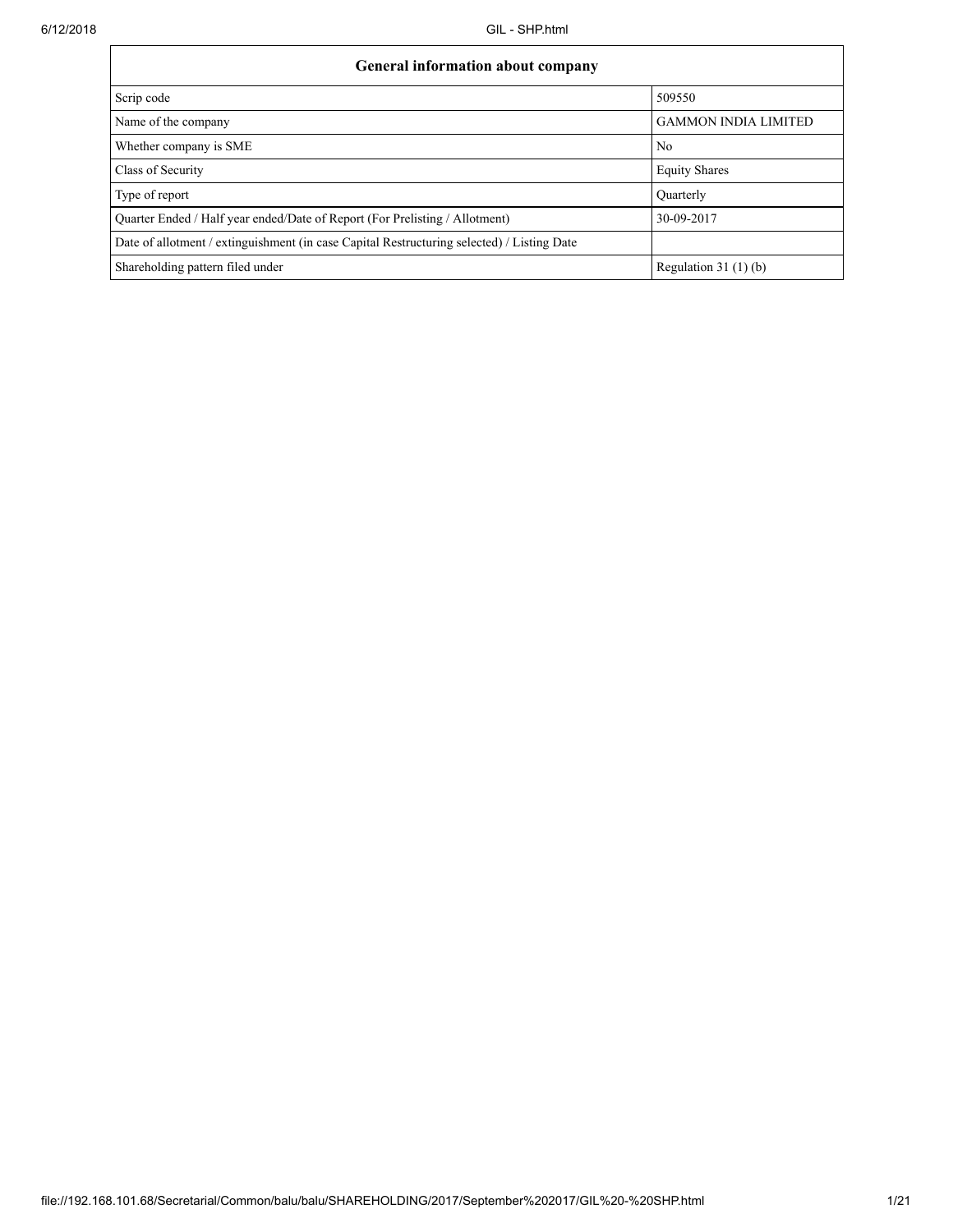| <b>General information about company</b>                                                   |                             |  |  |  |  |  |  |
|--------------------------------------------------------------------------------------------|-----------------------------|--|--|--|--|--|--|
| Scrip code                                                                                 | 509550                      |  |  |  |  |  |  |
| Name of the company                                                                        | <b>GAMMON INDIA LIMITED</b> |  |  |  |  |  |  |
| Whether company is SME                                                                     | N <sub>0</sub>              |  |  |  |  |  |  |
| Class of Security                                                                          | <b>Equity Shares</b>        |  |  |  |  |  |  |
| Type of report                                                                             | Ouarterly                   |  |  |  |  |  |  |
| Quarter Ended / Half year ended/Date of Report (For Prelisting / Allotment)                | 30-09-2017                  |  |  |  |  |  |  |
| Date of allotment / extinguishment (in case Capital Restructuring selected) / Listing Date |                             |  |  |  |  |  |  |
| Shareholding pattern filed under                                                           | Regulation 31 $(1)(b)$      |  |  |  |  |  |  |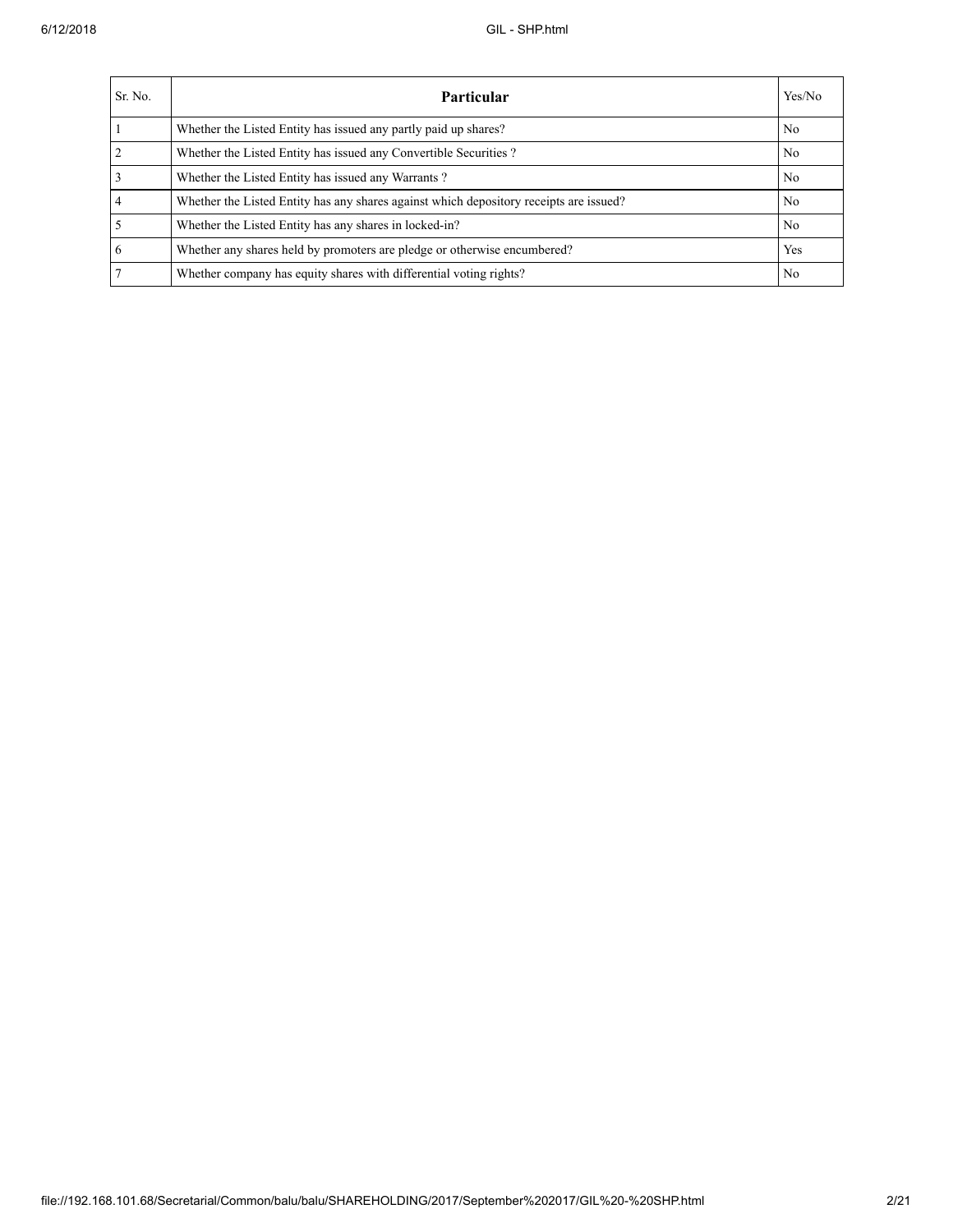| Sr. No.        | <b>Particular</b>                                                                      | Yes/No         |
|----------------|----------------------------------------------------------------------------------------|----------------|
|                | Whether the Listed Entity has issued any partly paid up shares?                        | No             |
| $\overline{2}$ | Whether the Listed Entity has issued any Convertible Securities?                       | N <sub>0</sub> |
|                | Whether the Listed Entity has issued any Warrants?                                     | N <sub>0</sub> |
| 4              | Whether the Listed Entity has any shares against which depository receipts are issued? | No             |
|                | Whether the Listed Entity has any shares in locked-in?                                 | No             |
| 6              | Whether any shares held by promoters are pledge or otherwise encumbered?               | Yes            |
|                | Whether company has equity shares with differential voting rights?                     | No             |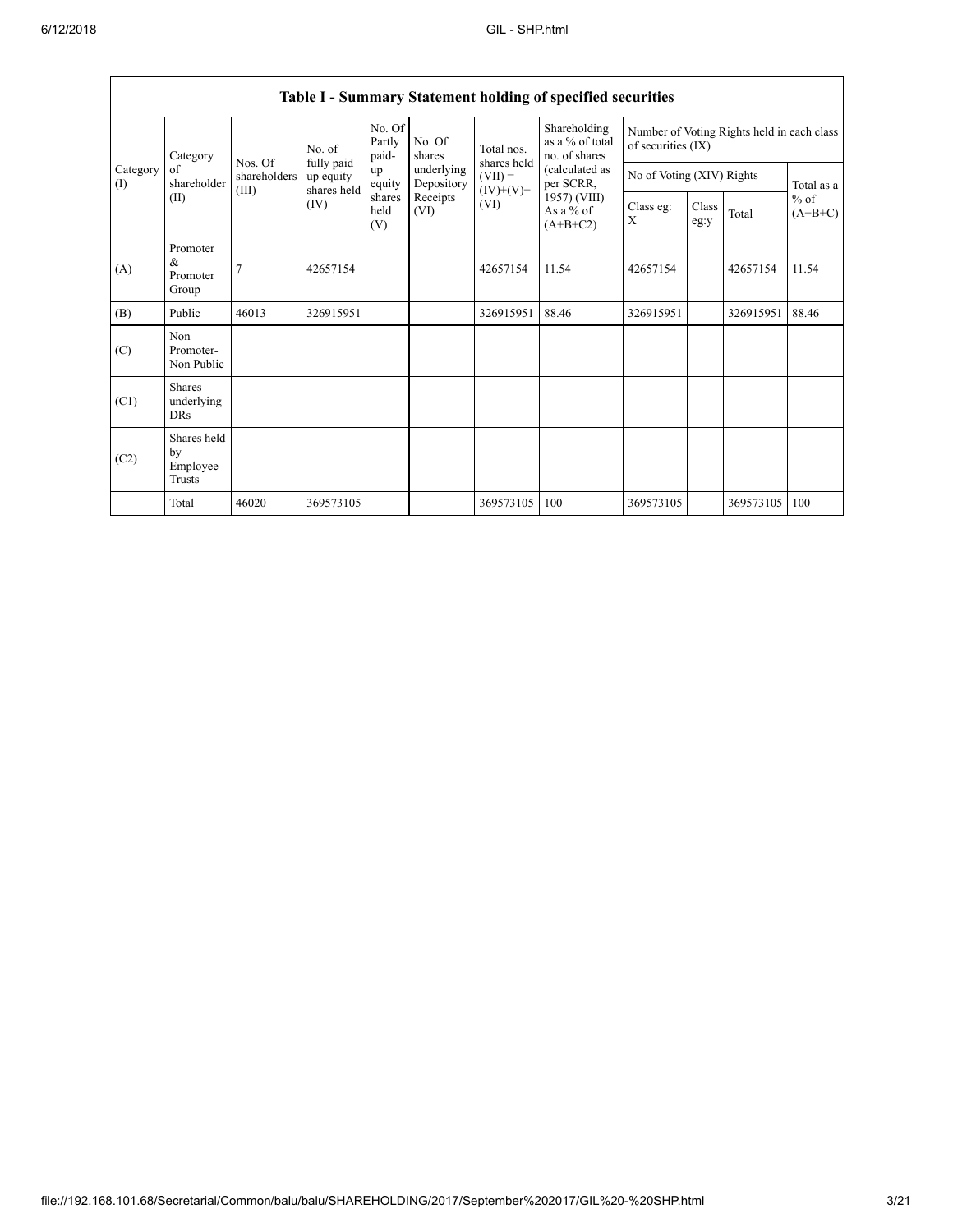| Category<br>Category<br>of<br>(I)<br>(II) |                                           |                       | No. of<br>Nos. Of<br>fully paid<br>up equity<br>shares held | No. Of<br>Partly<br>paid- | No. Of<br>shares         | Total nos.                              | Shareholding<br>as a % of total<br>no. of shares<br>(calculated as<br>per SCRR,<br>1957) (VIII)<br>As a % of<br>$(A+B+C2)$ | Number of Voting Rights held in each class<br>of securities (IX) |               |           |                     |
|-------------------------------------------|-------------------------------------------|-----------------------|-------------------------------------------------------------|---------------------------|--------------------------|-----------------------------------------|----------------------------------------------------------------------------------------------------------------------------|------------------------------------------------------------------|---------------|-----------|---------------------|
|                                           | shareholder                               | shareholders<br>(III) |                                                             | up<br>equity              | underlying<br>Depository | shares held<br>$(VII) =$<br>$(IV)+(V)+$ |                                                                                                                            | No of Voting (XIV) Rights                                        |               |           | Total as a          |
|                                           |                                           |                       | (IV)                                                        | shares<br>held<br>(V)     | Receipts<br>(VI)         | (VI)                                    |                                                                                                                            | Class eg:<br>X                                                   | Class<br>eg:y | Total     | $%$ of<br>$(A+B+C)$ |
| (A)                                       | Promoter<br>&<br>Promoter<br>Group        | 7                     | 42657154                                                    |                           |                          | 42657154                                | 11.54                                                                                                                      | 42657154                                                         |               | 42657154  | 11.54               |
| (B)                                       | Public                                    | 46013                 | 326915951                                                   |                           |                          | 326915951                               | 88.46                                                                                                                      | 326915951                                                        |               | 326915951 | 88.46               |
| (C)                                       | Non<br>Promoter-<br>Non Public            |                       |                                                             |                           |                          |                                         |                                                                                                                            |                                                                  |               |           |                     |
| (C1)                                      | <b>Shares</b><br>underlying<br><b>DRs</b> |                       |                                                             |                           |                          |                                         |                                                                                                                            |                                                                  |               |           |                     |
| (C2)                                      | Shares held<br>by<br>Employee<br>Trusts   |                       |                                                             |                           |                          |                                         |                                                                                                                            |                                                                  |               |           |                     |
|                                           | Total                                     | 46020                 | 369573105                                                   |                           |                          | 369573105                               | 100                                                                                                                        | 369573105                                                        |               | 369573105 | 100                 |

## **Table I - Summary Statement holding of specified securities**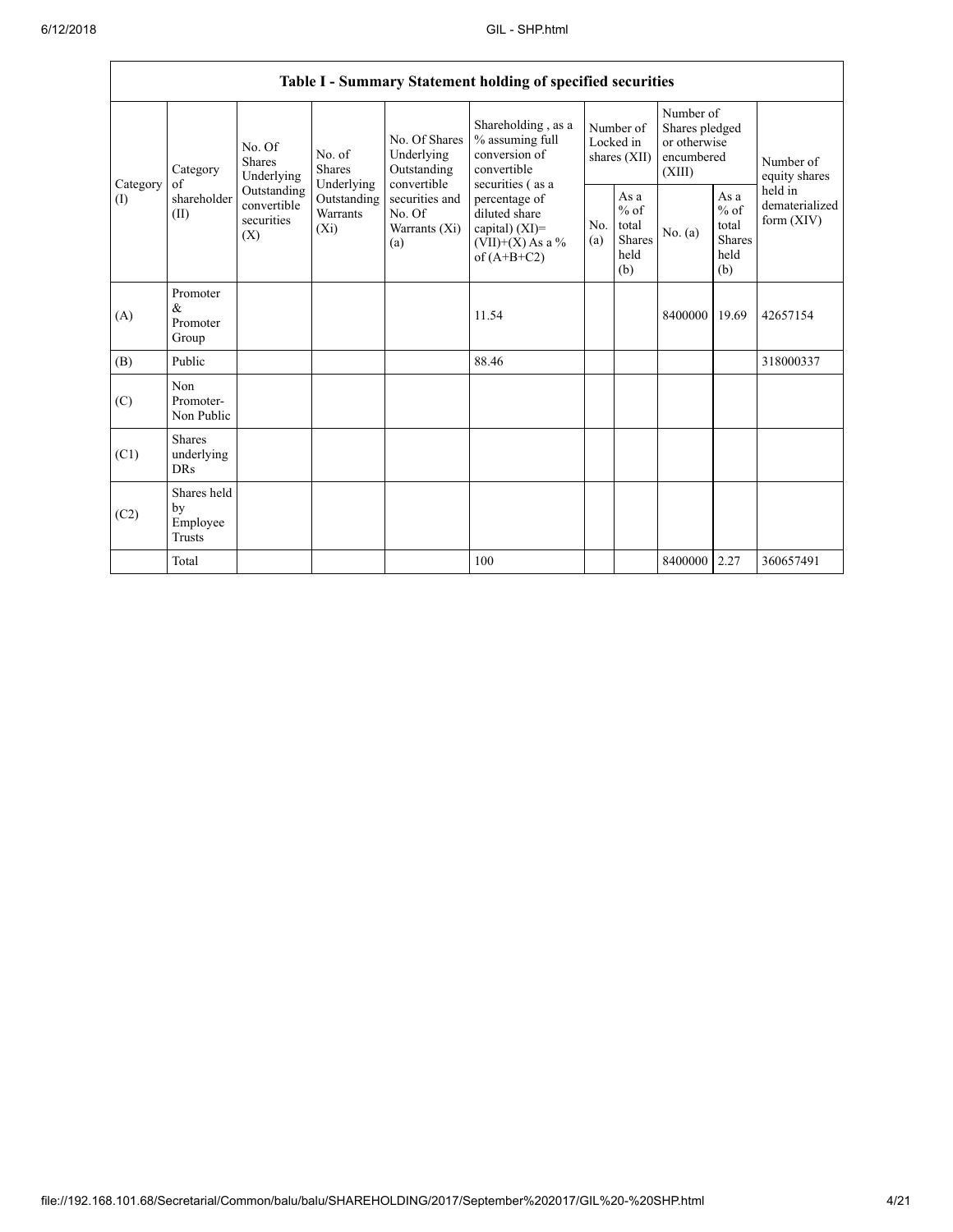|                 | Table I - Summary Statement holding of specified securities |                                                                                                                                                                         |                                                                 |                                                                                                             |                                                                       |                                                         |           |                                                                     |                                           |                            |  |
|-----------------|-------------------------------------------------------------|-------------------------------------------------------------------------------------------------------------------------------------------------------------------------|-----------------------------------------------------------------|-------------------------------------------------------------------------------------------------------------|-----------------------------------------------------------------------|---------------------------------------------------------|-----------|---------------------------------------------------------------------|-------------------------------------------|----------------------------|--|
| Category<br>(1) | Category<br>of<br>shareholder<br>(II)                       | No. Of<br>No. of<br><b>Shares</b><br><b>Shares</b><br>Underlying<br>Underlying<br>Outstanding<br>Outstanding<br>convertible<br>Warrants<br>securities<br>$(X_i)$<br>(X) |                                                                 | No. Of Shares<br>Underlying<br>Outstanding                                                                  | Shareholding, as a<br>% assuming full<br>conversion of<br>convertible | Number of<br>Locked in<br>shares $(XII)$                |           | Number of<br>Shares pledged<br>or otherwise<br>encumbered<br>(XIII) |                                           | Number of<br>equity shares |  |
|                 |                                                             |                                                                                                                                                                         | convertible<br>securities and<br>No. Of<br>Warrants (Xi)<br>(a) | securities (as a<br>percentage of<br>diluted share<br>capital) (XI)=<br>$(VII)+(X)$ As a %<br>of $(A+B+C2)$ | N <sub>0</sub><br>(a)                                                 | As a<br>$%$ of<br>total<br><b>Shares</b><br>held<br>(b) | No. $(a)$ | As a<br>$%$ of<br>total<br><b>Shares</b><br>held<br>(b)             | held in<br>dematerialized<br>form $(XIV)$ |                            |  |
| (A)             | Promoter<br>&<br>Promoter<br>Group                          |                                                                                                                                                                         |                                                                 |                                                                                                             | 11.54                                                                 |                                                         |           | 8400000                                                             | 19.69                                     | 42657154                   |  |
| (B)             | Public                                                      |                                                                                                                                                                         |                                                                 |                                                                                                             | 88.46                                                                 |                                                         |           |                                                                     |                                           | 318000337                  |  |
| (C)             | Non<br>Promoter-<br>Non Public                              |                                                                                                                                                                         |                                                                 |                                                                                                             |                                                                       |                                                         |           |                                                                     |                                           |                            |  |
| (C1)            | <b>Shares</b><br>underlying<br><b>DRs</b>                   |                                                                                                                                                                         |                                                                 |                                                                                                             |                                                                       |                                                         |           |                                                                     |                                           |                            |  |
| (C2)            | Shares held<br>by<br>Employee<br>Trusts                     |                                                                                                                                                                         |                                                                 |                                                                                                             |                                                                       |                                                         |           |                                                                     |                                           |                            |  |
|                 | Total                                                       |                                                                                                                                                                         |                                                                 |                                                                                                             | 100                                                                   |                                                         |           | 8400000                                                             | 2.27                                      | 360657491                  |  |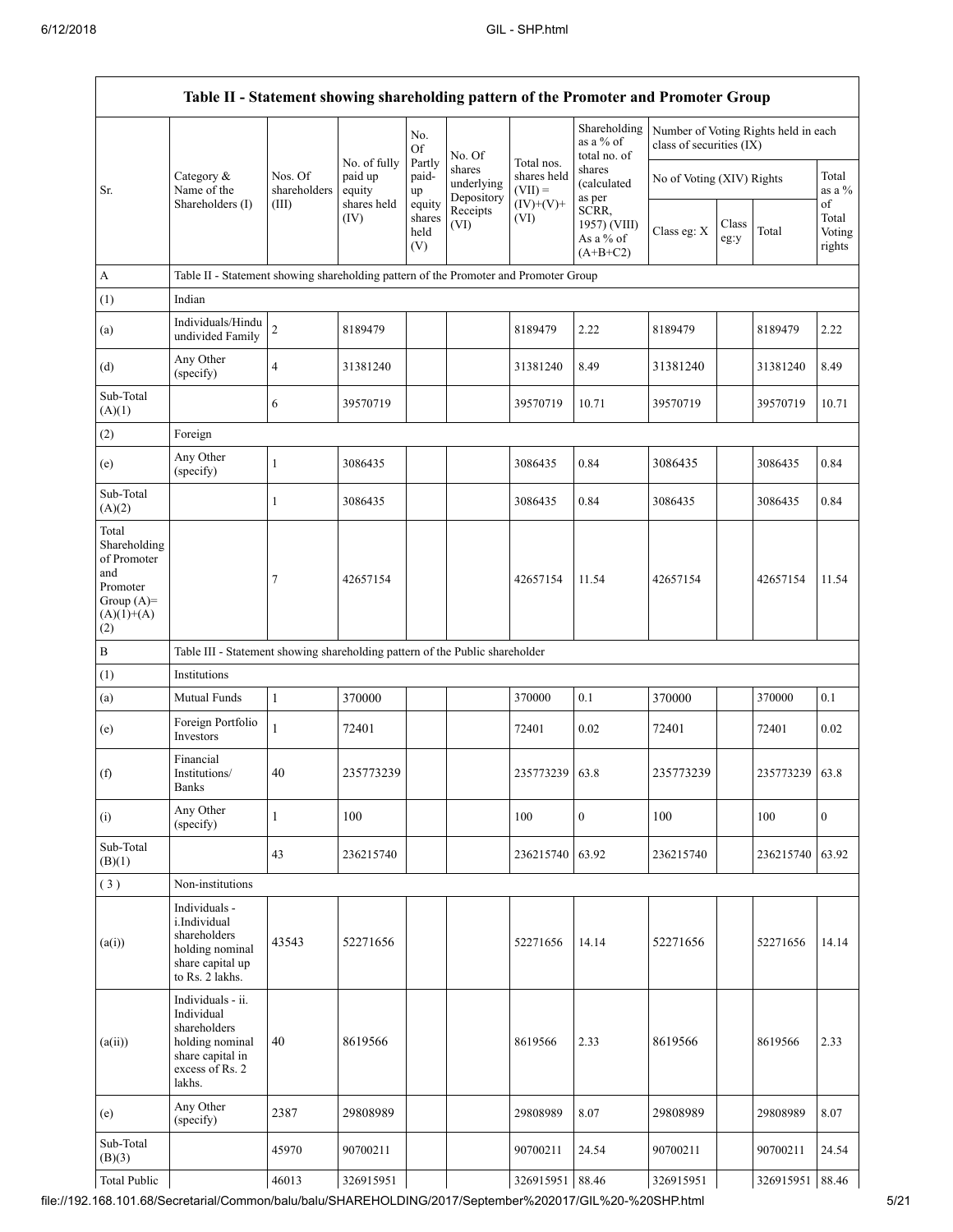$\Gamma$ 

|                                                                                                | Table II - Statement showing shareholding pattern of the Promoter and Promoter Group                                |                                  |                                  |                            |                                    |                                         |                                                  |                                                                  |               |                |                           |
|------------------------------------------------------------------------------------------------|---------------------------------------------------------------------------------------------------------------------|----------------------------------|----------------------------------|----------------------------|------------------------------------|-----------------------------------------|--------------------------------------------------|------------------------------------------------------------------|---------------|----------------|---------------------------|
|                                                                                                |                                                                                                                     |                                  | No. of fully                     | No.<br><b>Of</b><br>Partly | No. Of                             | Total nos.                              | Shareholding<br>as a % of<br>total no. of        | Number of Voting Rights held in each<br>class of securities (IX) |               |                |                           |
| Sr.                                                                                            | Category &<br>Name of the<br>Shareholders (I)                                                                       | Nos. Of<br>shareholders<br>(III) | paid up<br>equity<br>shares held | paid-<br>up<br>equity      | shares<br>underlying<br>Depository | shares held<br>$(VII) =$<br>$(IV)+(V)+$ | shares<br>(calculated<br>as per                  | No of Voting (XIV) Rights                                        |               |                | Total<br>as a %<br>of     |
|                                                                                                |                                                                                                                     |                                  | (IV)                             | shares<br>held<br>(V)      | Receipts<br>(VI)                   | (VI)                                    | SCRR,<br>1957) (VIII)<br>As a % of<br>$(A+B+C2)$ | Class eg: X                                                      | Class<br>eg:y | Total          | Total<br>Voting<br>rights |
| A                                                                                              | Table II - Statement showing shareholding pattern of the Promoter and Promoter Group                                |                                  |                                  |                            |                                    |                                         |                                                  |                                                                  |               |                |                           |
| (1)                                                                                            | Indian                                                                                                              |                                  |                                  |                            |                                    |                                         |                                                  |                                                                  |               |                |                           |
| (a)                                                                                            | Individuals/Hindu<br>undivided Family                                                                               | $\sqrt{2}$                       | 8189479                          |                            |                                    | 8189479                                 | 2.22                                             | 8189479                                                          |               | 8189479        | 2.22                      |
| (d)                                                                                            | Any Other<br>(specify)                                                                                              | $\overline{4}$                   | 31381240                         |                            |                                    | 31381240                                | 8.49                                             | 31381240                                                         |               | 31381240       | 8.49                      |
| Sub-Total<br>(A)(1)                                                                            |                                                                                                                     | 6                                | 39570719                         |                            |                                    | 39570719                                | 10.71                                            | 39570719                                                         |               | 39570719       | 10.71                     |
| (2)                                                                                            | Foreign                                                                                                             |                                  |                                  |                            |                                    |                                         |                                                  |                                                                  |               |                |                           |
| (e)                                                                                            | Any Other<br>(specify)                                                                                              | $\mathbf{1}$                     | 3086435                          |                            |                                    | 3086435                                 | 0.84                                             | 3086435                                                          |               | 3086435        | 0.84                      |
| Sub-Total<br>(A)(2)                                                                            |                                                                                                                     | 1                                | 3086435                          |                            |                                    | 3086435                                 | 0.84                                             | 3086435                                                          |               | 3086435        | 0.84                      |
| Total<br>Shareholding<br>of Promoter<br>and<br>Promoter<br>Group $(A)=$<br>$(A)(1)+(A)$<br>(2) |                                                                                                                     | $\tau$                           | 42657154                         |                            |                                    | 42657154                                | 11.54                                            | 42657154                                                         |               | 42657154       | 11.54                     |
| $\, {\bf B}$                                                                                   | Table III - Statement showing shareholding pattern of the Public shareholder                                        |                                  |                                  |                            |                                    |                                         |                                                  |                                                                  |               |                |                           |
| (1)                                                                                            | Institutions                                                                                                        |                                  |                                  |                            |                                    |                                         |                                                  |                                                                  |               |                |                           |
| (a)                                                                                            | Mutual Funds                                                                                                        | $\mathbf{1}$                     | 370000                           |                            |                                    | 370000                                  | 0.1                                              | 370000                                                           |               | 370000         | 0.1                       |
| (e)                                                                                            | Foreign Portfolio<br>Investors                                                                                      | $\mathbf{1}$                     | 72401                            |                            |                                    | 72401                                   | 0.02                                             | 72401                                                            |               | 72401          | 0.02                      |
| (f)                                                                                            | Financial<br>Institutions/<br><b>Banks</b>                                                                          | 40                               | 235773239                        |                            |                                    | 235773239 63.8                          |                                                  | 235773239                                                        |               | 235773239 63.8 |                           |
| (i)                                                                                            | Any Other<br>(specify)                                                                                              | $\mathbf{1}$                     | 100                              |                            |                                    | 100                                     | $\mathbf{0}$                                     | 100                                                              |               | 100            | $\overline{0}$            |
| Sub-Total<br>(B)(1)                                                                            |                                                                                                                     | 43                               | 236215740                        |                            |                                    | 236215740                               | 63.92                                            | 236215740                                                        |               | 236215740      | 63.92                     |
| (3)                                                                                            | Non-institutions                                                                                                    |                                  |                                  |                            |                                    |                                         |                                                  |                                                                  |               |                |                           |
| (a(i))                                                                                         | Individuals -<br>i.Individual<br>shareholders<br>holding nominal<br>share capital up<br>to Rs. 2 lakhs.             | 43543                            | 52271656                         |                            |                                    | 52271656                                | 14.14                                            | 52271656                                                         |               | 52271656       | 14.14                     |
| (a(ii))                                                                                        | Individuals - ii.<br>Individual<br>shareholders<br>holding nominal<br>share capital in<br>excess of Rs. 2<br>lakhs. | 40                               | 8619566                          |                            |                                    | 8619566                                 | 2.33                                             | 8619566                                                          |               | 8619566        | 2.33                      |
| (e)                                                                                            | Any Other<br>(specify)                                                                                              | 2387                             | 29808989                         |                            |                                    | 29808989                                | 8.07                                             | 29808989                                                         |               | 29808989       | 8.07                      |
| Sub-Total<br>(B)(3)                                                                            |                                                                                                                     | 45970                            | 90700211                         |                            |                                    | 90700211                                | 24.54                                            | 90700211                                                         |               | 90700211       | 24.54                     |
| <b>Total Public</b>                                                                            |                                                                                                                     | 46013                            | 326915951                        |                            |                                    | 326915951                               | 88.46                                            | 326915951                                                        |               | 326915951      | 88.46                     |

file://192.168.101.68/Secretarial/Common/balu/balu/SHAREHOLDING/2017/September%202017/GIL%20-%20SHP.html 5/21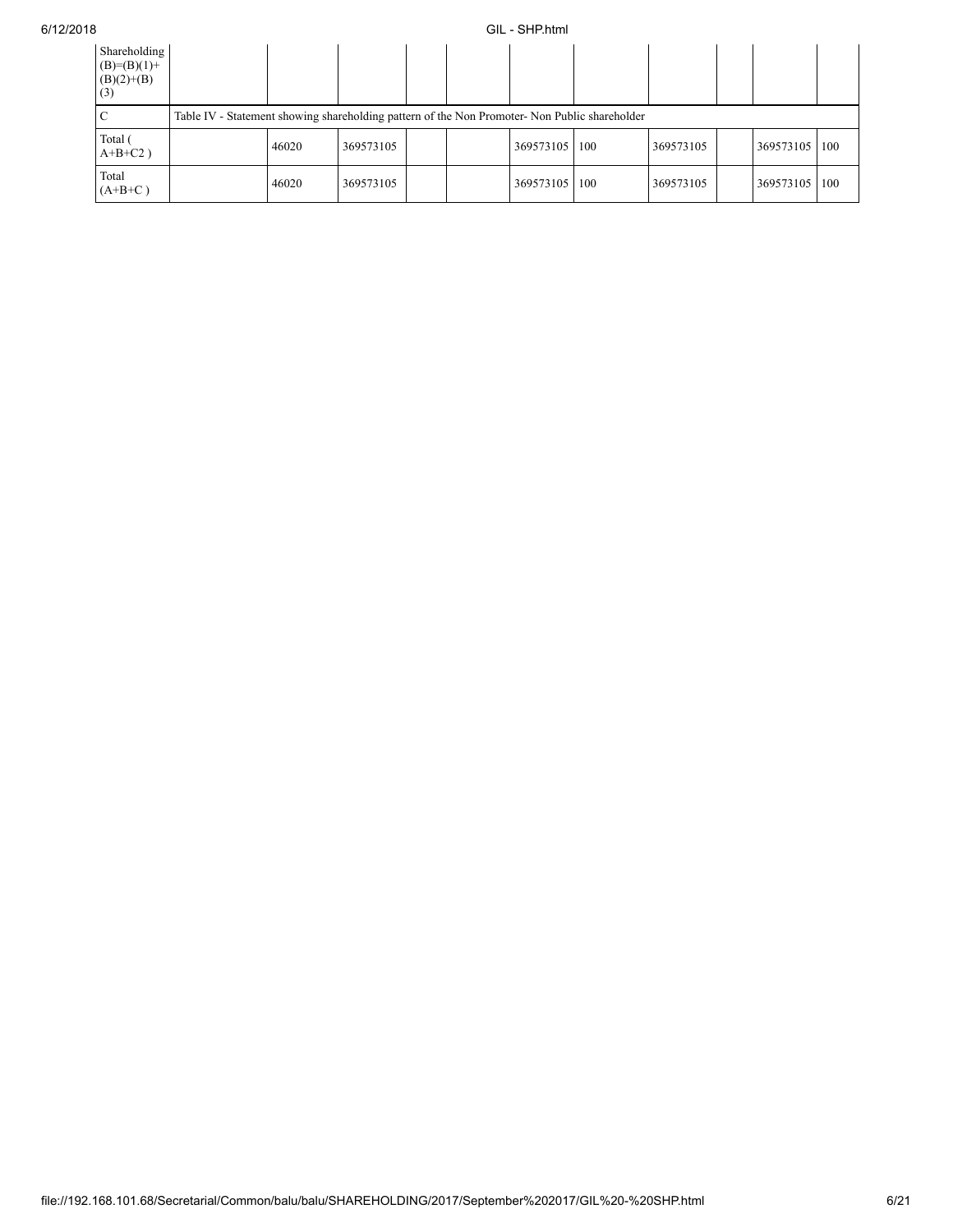## 6/12/2018 GIL - SHP.html

| Shareholding<br>$(B)=(B)(1)+$<br>$(B)(2)+(B)$<br>(3) |                                                                                              |           |  |  |           |     |           |  |           |            |
|------------------------------------------------------|----------------------------------------------------------------------------------------------|-----------|--|--|-----------|-----|-----------|--|-----------|------------|
|                                                      | Table IV - Statement showing shareholding pattern of the Non Promoter-Non Public shareholder |           |  |  |           |     |           |  |           |            |
| Total (<br>$A+B+C2$ )                                | 46020                                                                                        | 369573105 |  |  | 369573105 | 100 | 369573105 |  | 369573105 | <b>100</b> |
| Total<br>$(A+B+C)$                                   | 46020                                                                                        | 369573105 |  |  | 369573105 | 100 | 369573105 |  | 369573105 | 100        |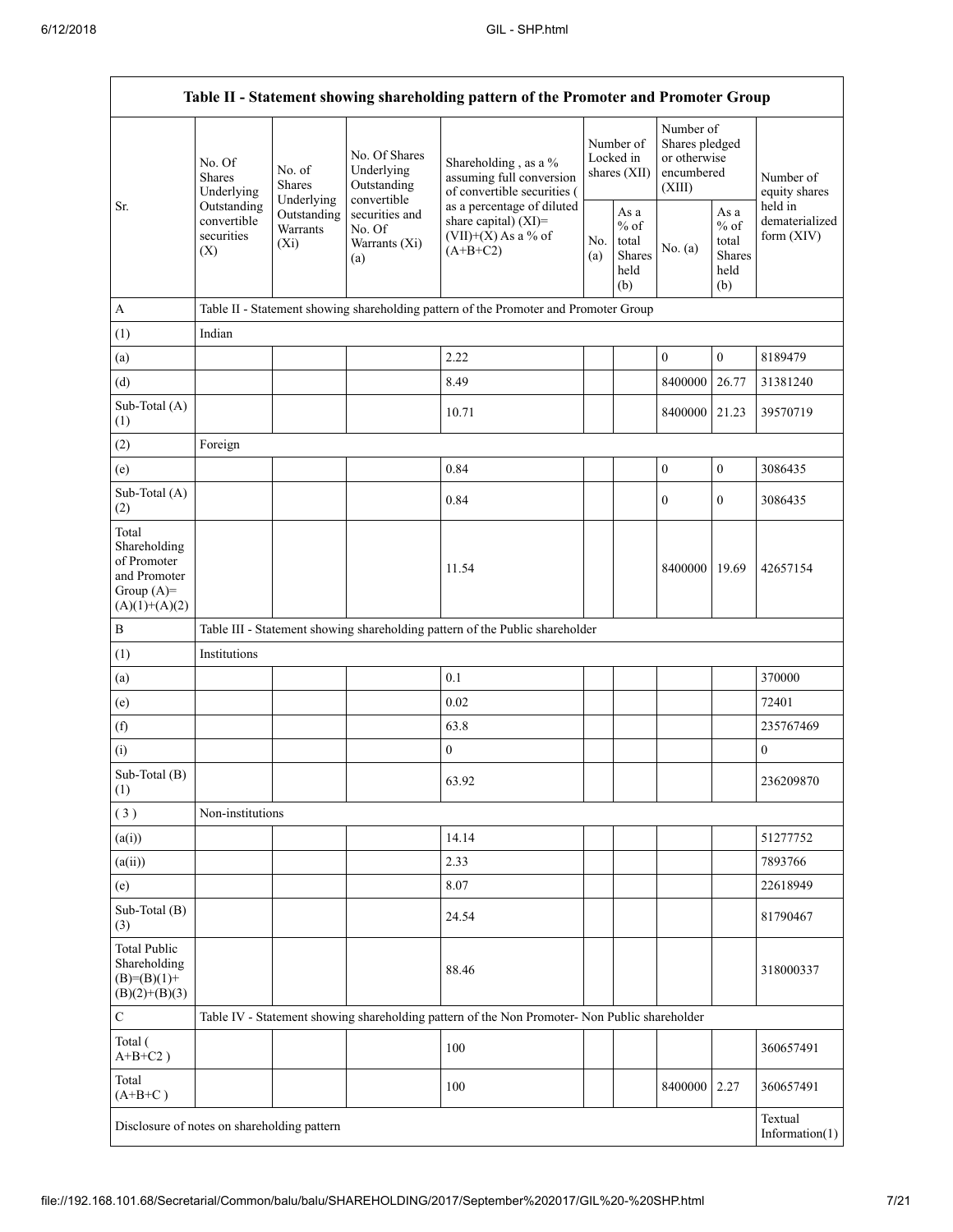|                                                                                         |                                                 |                                                  |                                                           | Table II - Statement showing shareholding pattern of the Promoter and Promoter Group                    |  |                                                  |                                                                     |                                                          |                                                                       |
|-----------------------------------------------------------------------------------------|-------------------------------------------------|--------------------------------------------------|-----------------------------------------------------------|---------------------------------------------------------------------------------------------------------|--|--------------------------------------------------|---------------------------------------------------------------------|----------------------------------------------------------|-----------------------------------------------------------------------|
|                                                                                         | No. Of<br><b>Shares</b><br>Underlying           | No. of<br><b>Shares</b>                          | No. Of Shares<br>Underlying<br>Outstanding<br>convertible | Shareholding, as a %<br>assuming full conversion<br>of convertible securities (                         |  | Number of<br>Locked in<br>shares (XII)           | Number of<br>Shares pledged<br>or otherwise<br>encumbered<br>(XIII) |                                                          | Number of<br>equity shares<br>held in<br>dematerialized<br>form (XIV) |
| Sr.                                                                                     | Outstanding<br>convertible<br>securities<br>(X) | Underlying<br>Outstanding<br>Warrants<br>$(X_i)$ | securities and<br>No. Of<br>Warrants (Xi)<br>(a)          | as a percentage of diluted<br>share capital) (XI)=<br>$(VII)+(X)$ As a % of<br>No.<br>$(A+B+C2)$<br>(a) |  | As a<br>$%$ of<br>total<br>Shares<br>held<br>(b) | No. $(a)$                                                           | As a<br>$\%$ of<br>total<br><b>Shares</b><br>held<br>(b) |                                                                       |
| A                                                                                       |                                                 |                                                  |                                                           | Table II - Statement showing shareholding pattern of the Promoter and Promoter Group                    |  |                                                  |                                                                     |                                                          |                                                                       |
| (1)                                                                                     | Indian                                          |                                                  |                                                           |                                                                                                         |  |                                                  |                                                                     |                                                          |                                                                       |
| (a)                                                                                     |                                                 |                                                  |                                                           | 2.22                                                                                                    |  |                                                  | $\boldsymbol{0}$                                                    | $\boldsymbol{0}$                                         | 8189479                                                               |
| (d)                                                                                     |                                                 |                                                  |                                                           | 8.49                                                                                                    |  |                                                  | 8400000                                                             | 26.77                                                    | 31381240                                                              |
| Sub-Total (A)<br>(1)                                                                    |                                                 |                                                  |                                                           | 10.71                                                                                                   |  |                                                  | 8400000                                                             | 21.23                                                    | 39570719                                                              |
| (2)                                                                                     | Foreign                                         |                                                  |                                                           |                                                                                                         |  |                                                  |                                                                     |                                                          |                                                                       |
| (e)                                                                                     |                                                 |                                                  |                                                           | 0.84                                                                                                    |  |                                                  | $\boldsymbol{0}$                                                    | $\boldsymbol{0}$                                         | 3086435                                                               |
| Sub-Total (A)<br>(2)                                                                    |                                                 |                                                  |                                                           | 0.84                                                                                                    |  |                                                  | $\boldsymbol{0}$                                                    | $\boldsymbol{0}$                                         | 3086435                                                               |
| Total<br>Shareholding<br>of Promoter<br>and Promoter<br>Group $(A)=$<br>$(A)(1)+(A)(2)$ |                                                 |                                                  |                                                           | 11.54                                                                                                   |  |                                                  | 8400000                                                             | 19.69                                                    | 42657154                                                              |
| $\bf{B}$                                                                                |                                                 |                                                  |                                                           | Table III - Statement showing shareholding pattern of the Public shareholder                            |  |                                                  |                                                                     |                                                          |                                                                       |
| (1)                                                                                     | Institutions                                    |                                                  |                                                           |                                                                                                         |  |                                                  |                                                                     |                                                          |                                                                       |
| (a)                                                                                     |                                                 |                                                  |                                                           | 0.1                                                                                                     |  |                                                  |                                                                     |                                                          | 370000                                                                |
| (e)                                                                                     |                                                 |                                                  |                                                           | 0.02                                                                                                    |  |                                                  |                                                                     |                                                          | 72401                                                                 |
| (f)                                                                                     |                                                 |                                                  |                                                           | 63.8                                                                                                    |  |                                                  |                                                                     |                                                          | 235767469                                                             |
| (i)                                                                                     |                                                 |                                                  |                                                           | $\boldsymbol{0}$                                                                                        |  |                                                  |                                                                     |                                                          | $\boldsymbol{0}$                                                      |
| Sub-Total (B)<br>(1)                                                                    |                                                 |                                                  |                                                           | 63.92                                                                                                   |  |                                                  |                                                                     |                                                          | 236209870                                                             |
| (3)                                                                                     | Non-institutions                                |                                                  |                                                           |                                                                                                         |  |                                                  |                                                                     |                                                          |                                                                       |
| (a(i))                                                                                  |                                                 |                                                  |                                                           | 14.14                                                                                                   |  |                                                  |                                                                     |                                                          | 51277752                                                              |
| (a(ii))                                                                                 |                                                 |                                                  |                                                           | 2.33                                                                                                    |  |                                                  |                                                                     |                                                          | 7893766                                                               |
| (e)                                                                                     |                                                 |                                                  |                                                           | 8.07                                                                                                    |  |                                                  |                                                                     |                                                          | 22618949                                                              |
| Sub-Total (B)<br>(3)                                                                    |                                                 |                                                  |                                                           | 24.54                                                                                                   |  |                                                  |                                                                     |                                                          | 81790467                                                              |
| <b>Total Public</b><br>Shareholding<br>$(B)= (B)(1) +$<br>$(B)(2)+(B)(3)$               |                                                 |                                                  |                                                           | 88.46                                                                                                   |  |                                                  |                                                                     |                                                          | 318000337                                                             |
| $\mathbf C$                                                                             |                                                 |                                                  |                                                           | Table IV - Statement showing shareholding pattern of the Non Promoter- Non Public shareholder           |  |                                                  |                                                                     |                                                          |                                                                       |
| Total (<br>$A+B+C2$ )                                                                   |                                                 |                                                  |                                                           | 100                                                                                                     |  |                                                  |                                                                     |                                                          | 360657491                                                             |
| Total<br>$(A+B+C)$                                                                      |                                                 |                                                  |                                                           | 100                                                                                                     |  |                                                  | 8400000                                                             | 2.27                                                     | 360657491                                                             |
| Disclosure of notes on shareholding pattern                                             |                                                 |                                                  |                                                           |                                                                                                         |  |                                                  |                                                                     |                                                          | Textual<br>Information $(1)$                                          |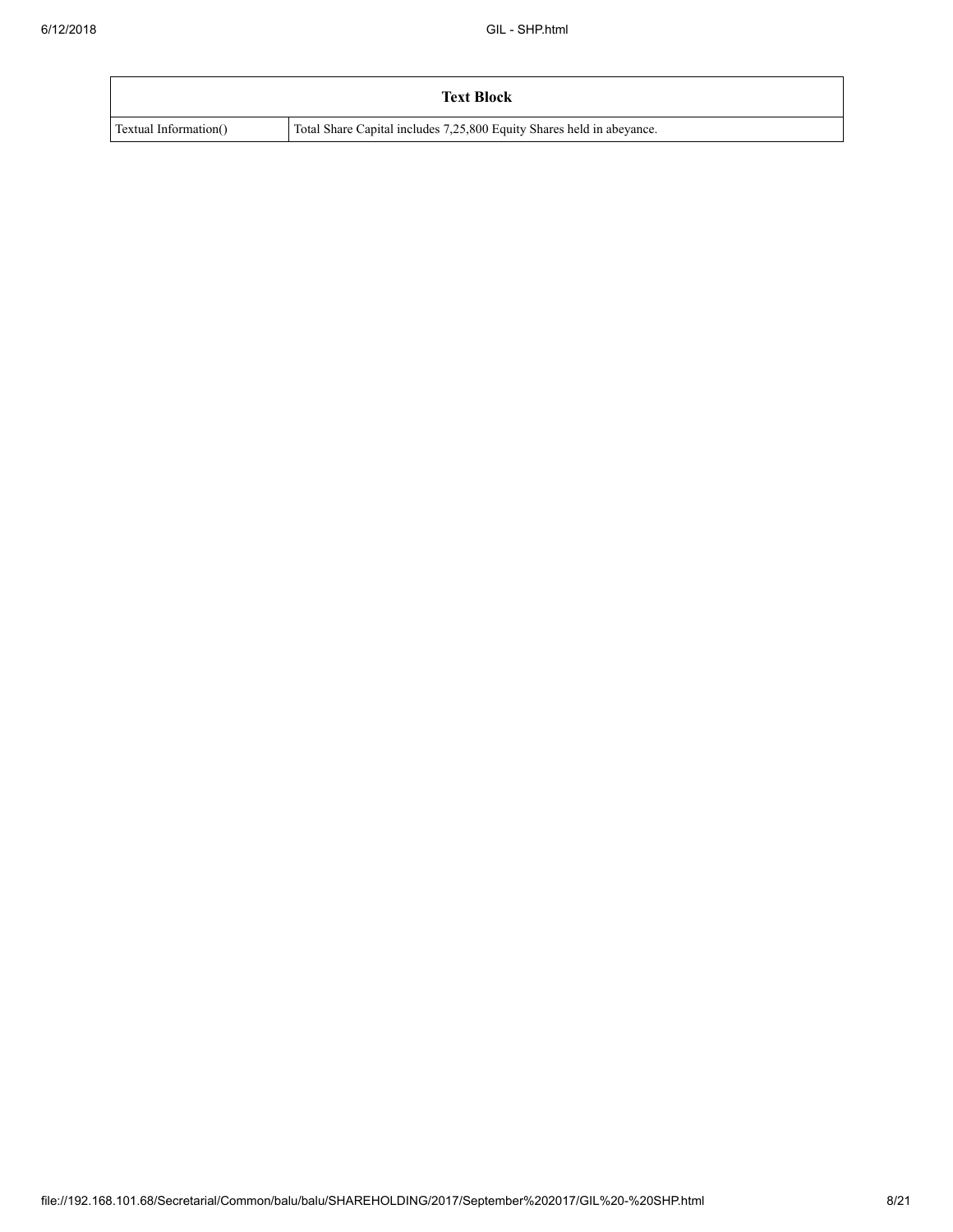|                       | <b>Text Block</b>                                                     |
|-----------------------|-----------------------------------------------------------------------|
| Textual Information() | Total Share Capital includes 7,25,800 Equity Shares held in abeyance. |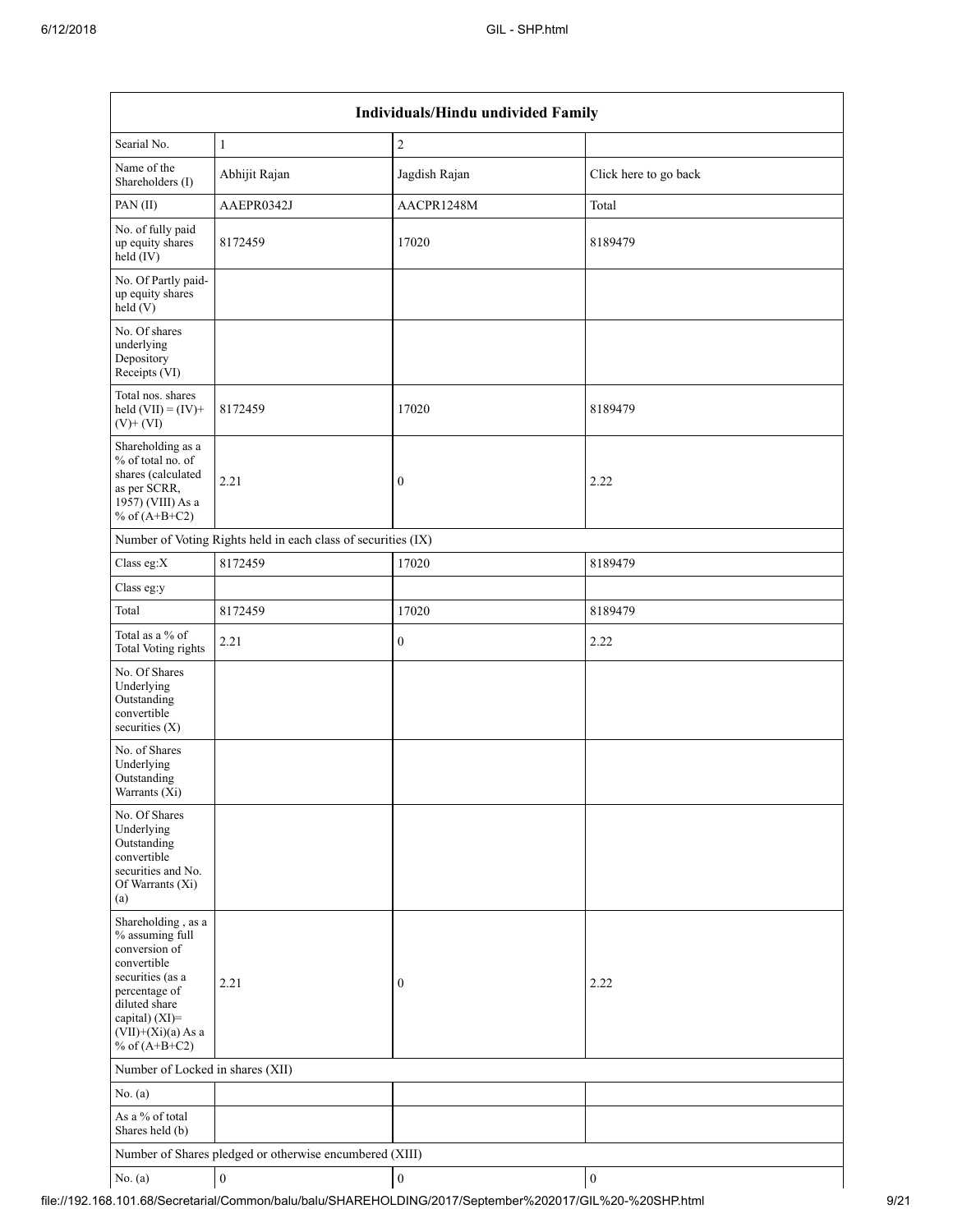| Individuals/Hindu undivided Family                                                                                                                                                          |                                                         |                  |                       |  |  |  |  |  |  |
|---------------------------------------------------------------------------------------------------------------------------------------------------------------------------------------------|---------------------------------------------------------|------------------|-----------------------|--|--|--|--|--|--|
| Searial No.                                                                                                                                                                                 | $\mathbf{1}$                                            | $\overline{2}$   |                       |  |  |  |  |  |  |
| Name of the<br>Shareholders (I)                                                                                                                                                             | Abhijit Rajan                                           | Jagdish Rajan    | Click here to go back |  |  |  |  |  |  |
| PAN(II)                                                                                                                                                                                     | AAEPR0342J                                              | AACPR1248M       | Total                 |  |  |  |  |  |  |
| No. of fully paid<br>up equity shares<br>$held$ (IV)                                                                                                                                        | 8172459                                                 | 17020            | 8189479               |  |  |  |  |  |  |
| No. Of Partly paid-<br>up equity shares<br>held(V)                                                                                                                                          |                                                         |                  |                       |  |  |  |  |  |  |
| No. Of shares<br>underlying<br>Depository<br>Receipts (VI)                                                                                                                                  |                                                         |                  |                       |  |  |  |  |  |  |
| Total nos. shares<br>held $(VII) = (IV) +$<br>$(V)$ + $(VI)$                                                                                                                                | 8172459                                                 | 17020            | 8189479               |  |  |  |  |  |  |
| Shareholding as a<br>% of total no. of<br>shares (calculated<br>as per SCRR,<br>1957) (VIII) As a<br>% of $(A+B+C2)$                                                                        | 2.21                                                    | $\boldsymbol{0}$ | 2.22                  |  |  |  |  |  |  |
| Number of Voting Rights held in each class of securities (IX)                                                                                                                               |                                                         |                  |                       |  |  |  |  |  |  |
| Class eg:X                                                                                                                                                                                  | 8172459                                                 | 17020            | 8189479               |  |  |  |  |  |  |
| Class eg:y                                                                                                                                                                                  |                                                         |                  |                       |  |  |  |  |  |  |
| Total                                                                                                                                                                                       | 8172459                                                 | 17020            | 8189479               |  |  |  |  |  |  |
| Total as a % of<br>Total Voting rights                                                                                                                                                      | 2.21                                                    | $\mathbf{0}$     | 2.22                  |  |  |  |  |  |  |
| No. Of Shares<br>Underlying<br>Outstanding<br>convertible<br>securities $(X)$                                                                                                               |                                                         |                  |                       |  |  |  |  |  |  |
| No. of Shares<br>Underlying<br>Outstanding<br>Warrants (X1)                                                                                                                                 |                                                         |                  |                       |  |  |  |  |  |  |
| No. Of Shares<br>Underlying<br>Outstanding<br>convertible<br>securities and No.<br>Of Warrants (Xi)<br>(a)                                                                                  |                                                         |                  |                       |  |  |  |  |  |  |
| Shareholding, as a<br>% assuming full<br>conversion of<br>convertible<br>securities (as a<br>percentage of<br>diluted share<br>capital) $(XI)$ =<br>$(VII)+(Xi)(a)$ As a<br>% of $(A+B+C2)$ | 2.21                                                    | $\boldsymbol{0}$ | 2.22                  |  |  |  |  |  |  |
| Number of Locked in shares (XII)                                                                                                                                                            |                                                         |                  |                       |  |  |  |  |  |  |
| No. (a)                                                                                                                                                                                     |                                                         |                  |                       |  |  |  |  |  |  |
| As a % of total<br>Shares held (b)                                                                                                                                                          |                                                         |                  |                       |  |  |  |  |  |  |
|                                                                                                                                                                                             | Number of Shares pledged or otherwise encumbered (XIII) |                  |                       |  |  |  |  |  |  |
| No. $(a)$                                                                                                                                                                                   | $\boldsymbol{0}$                                        | $\boldsymbol{0}$ | $\boldsymbol{0}$      |  |  |  |  |  |  |

file://192.168.101.68/Secretarial/Common/balu/balu/SHAREHOLDING/2017/September%202017/GIL%20-%20SHP.html 9/21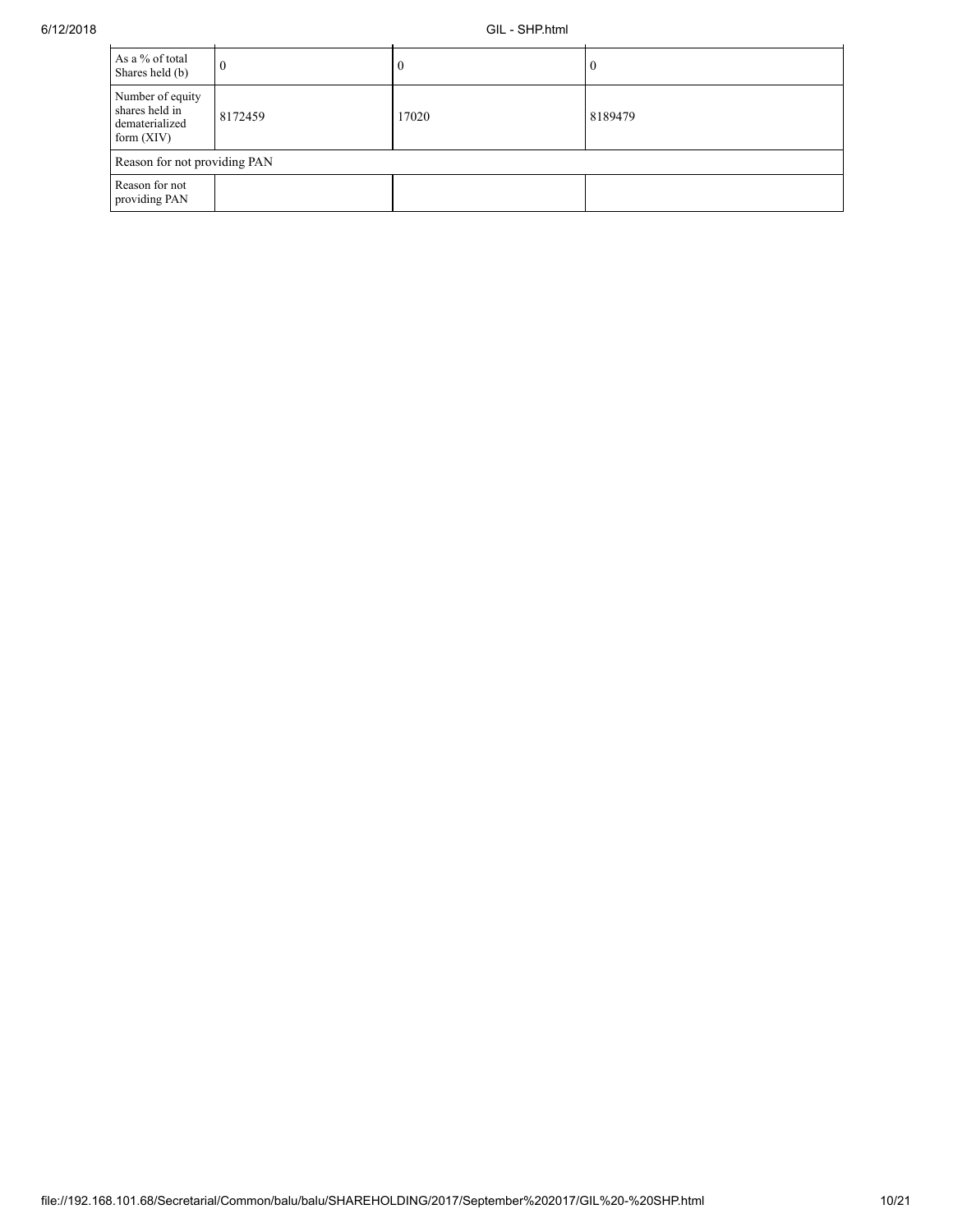| As a % of total<br>Shares held (b)                                   | 0       |       |         |  |  |  |  |  |
|----------------------------------------------------------------------|---------|-------|---------|--|--|--|--|--|
| Number of equity<br>shares held in<br>dematerialized<br>form $(XIV)$ | 8172459 | 17020 | 8189479 |  |  |  |  |  |
| Reason for not providing PAN                                         |         |       |         |  |  |  |  |  |
| Reason for not<br>providing PAN                                      |         |       |         |  |  |  |  |  |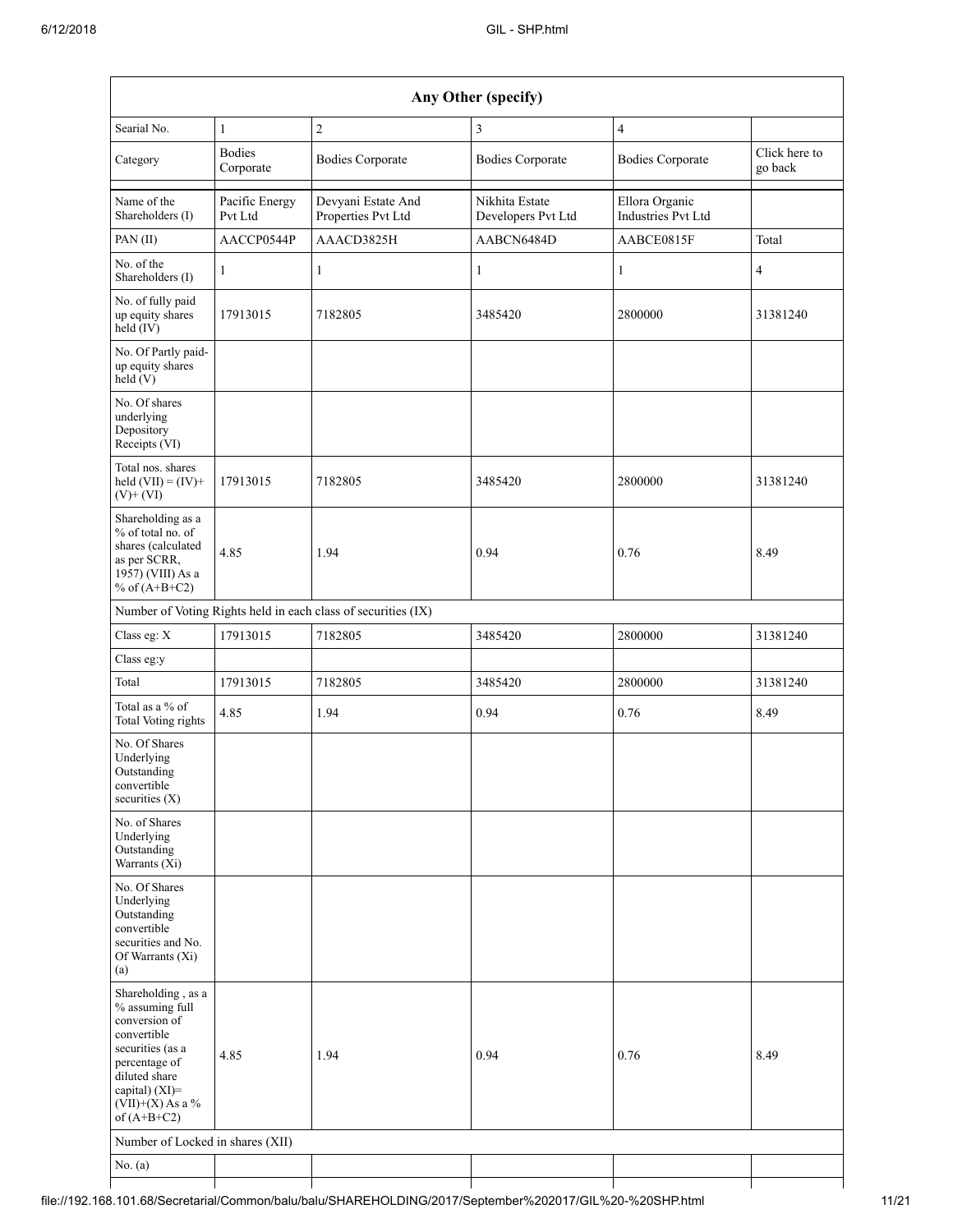| Any Other (specify)                                                                                                                                                                  |                            |                                                               |                                      |                                      |                          |  |  |  |  |
|--------------------------------------------------------------------------------------------------------------------------------------------------------------------------------------|----------------------------|---------------------------------------------------------------|--------------------------------------|--------------------------------------|--------------------------|--|--|--|--|
| Searial No.                                                                                                                                                                          | $\mathbf{1}$               | $\overline{c}$                                                | 3                                    | $\overline{4}$                       |                          |  |  |  |  |
| Category                                                                                                                                                                             | <b>Bodies</b><br>Corporate | <b>Bodies Corporate</b>                                       | <b>Bodies Corporate</b>              | <b>Bodies Corporate</b>              | Click here to<br>go back |  |  |  |  |
| Name of the<br>Shareholders (I)                                                                                                                                                      | Pacific Energy<br>Pvt Ltd  | Devyani Estate And<br>Properties Pvt Ltd                      | Nikhita Estate<br>Developers Pvt Ltd | Ellora Organic<br>Industries Pvt Ltd |                          |  |  |  |  |
| PAN(II)                                                                                                                                                                              | AACCP0544P                 | AAACD3825H                                                    | AABCN6484D                           | AABCE0815F                           | Total                    |  |  |  |  |
| No. of the<br>Shareholders (I)                                                                                                                                                       | 1                          | 1                                                             | 1                                    | 1                                    | $\overline{4}$           |  |  |  |  |
| No. of fully paid<br>up equity shares<br>$held$ (IV)                                                                                                                                 | 17913015                   | 7182805                                                       | 3485420                              | 2800000                              | 31381240                 |  |  |  |  |
| No. Of Partly paid-<br>up equity shares<br>held(V)                                                                                                                                   |                            |                                                               |                                      |                                      |                          |  |  |  |  |
| No. Of shares<br>underlying<br>Depository<br>Receipts (VI)                                                                                                                           |                            |                                                               |                                      |                                      |                          |  |  |  |  |
| Total nos. shares<br>held $(VII) = (IV) +$<br>$(V)$ + $(VI)$                                                                                                                         | 17913015                   | 7182805                                                       | 3485420                              | 2800000                              | 31381240                 |  |  |  |  |
| Shareholding as a<br>% of total no. of<br>shares (calculated<br>as per SCRR,<br>1957) (VIII) As a<br>% of $(A+B+C2)$                                                                 | 4.85                       | 1.94                                                          | 0.94                                 | 0.76                                 | 8.49                     |  |  |  |  |
|                                                                                                                                                                                      |                            | Number of Voting Rights held in each class of securities (IX) |                                      |                                      |                          |  |  |  |  |
| Class eg: X                                                                                                                                                                          | 17913015                   | 7182805                                                       | 3485420                              | 2800000                              | 31381240                 |  |  |  |  |
| Class eg:y                                                                                                                                                                           |                            |                                                               |                                      |                                      |                          |  |  |  |  |
| Total                                                                                                                                                                                | 17913015                   | 7182805                                                       | 3485420                              | 2800000                              | 31381240                 |  |  |  |  |
| Total as a % of<br><b>Total Voting rights</b>                                                                                                                                        | 4.85                       | 1.94                                                          | 0.94                                 | 0.76                                 | 8.49                     |  |  |  |  |
| No. Of Shares<br>Underlying<br>Outstanding<br>convertible<br>securities $(X)$                                                                                                        |                            |                                                               |                                      |                                      |                          |  |  |  |  |
| No. of Shares<br>Underlying<br>Outstanding<br>Warrants (Xi)                                                                                                                          |                            |                                                               |                                      |                                      |                          |  |  |  |  |
| No. Of Shares<br>Underlying<br>Outstanding<br>convertible<br>securities and No.<br>Of Warrants (Xi)<br>(a)                                                                           |                            |                                                               |                                      |                                      |                          |  |  |  |  |
| Shareholding, as a<br>% assuming full<br>conversion of<br>convertible<br>securities (as a<br>percentage of<br>diluted share<br>capital) (XI)=<br>$(VII)+(X)$ As a %<br>of $(A+B+C2)$ | 4.85                       | 1.94                                                          | 0.94                                 | 0.76                                 | 8.49                     |  |  |  |  |
| Number of Locked in shares (XII)                                                                                                                                                     |                            |                                                               |                                      |                                      |                          |  |  |  |  |
| No. (a)                                                                                                                                                                              |                            |                                                               |                                      |                                      |                          |  |  |  |  |
|                                                                                                                                                                                      |                            |                                                               |                                      |                                      |                          |  |  |  |  |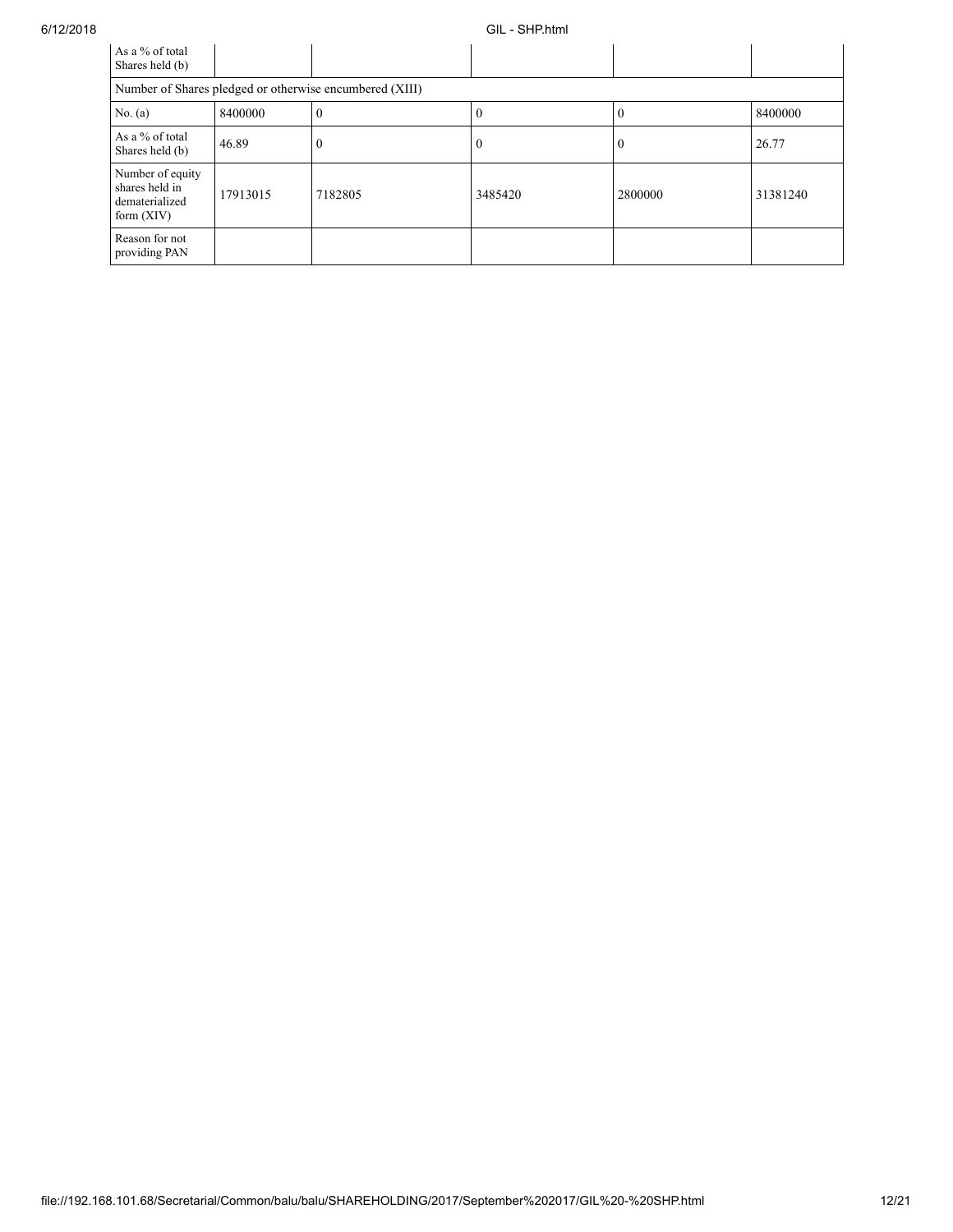## 6/12/2018 GIL - SHP.html

| As a % of total<br>Shares held (b)                                   |          |          |         |         |          |  |  |  |
|----------------------------------------------------------------------|----------|----------|---------|---------|----------|--|--|--|
| Number of Shares pledged or otherwise encumbered (XIII)              |          |          |         |         |          |  |  |  |
| No. $(a)$                                                            | 8400000  | $\Omega$ | 0       | 0       | 8400000  |  |  |  |
| As a % of total<br>Shares held (b)                                   | 46.89    | $\theta$ | 0       |         | 26.77    |  |  |  |
| Number of equity<br>shares held in<br>dematerialized<br>form $(XIV)$ | 17913015 | 7182805  | 3485420 | 2800000 | 31381240 |  |  |  |
| Reason for not<br>providing PAN                                      |          |          |         |         |          |  |  |  |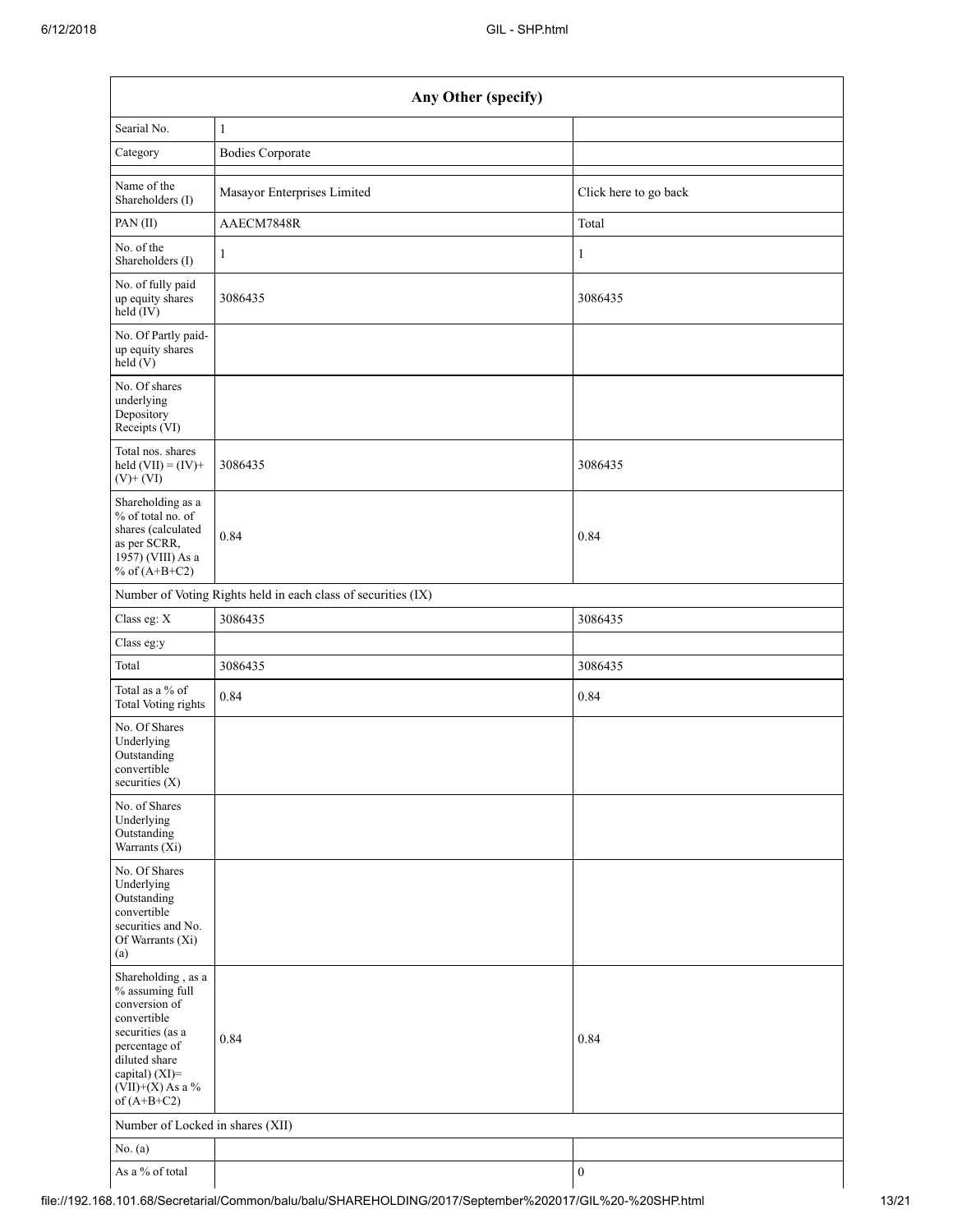| Any Other (specify)                                                                                                                                                                  |                                                               |                       |  |  |  |  |
|--------------------------------------------------------------------------------------------------------------------------------------------------------------------------------------|---------------------------------------------------------------|-----------------------|--|--|--|--|
| Searial No.                                                                                                                                                                          | $\mathbf{1}$                                                  |                       |  |  |  |  |
| Category                                                                                                                                                                             | <b>Bodies Corporate</b>                                       |                       |  |  |  |  |
| Name of the<br>Shareholders (I)                                                                                                                                                      | Masayor Enterprises Limited                                   | Click here to go back |  |  |  |  |
| PAN (II)                                                                                                                                                                             | AAECM7848R                                                    | Total                 |  |  |  |  |
| No. of the<br>Shareholders (I)                                                                                                                                                       | $\mathbf{1}$                                                  | 1                     |  |  |  |  |
| No. of fully paid<br>up equity shares<br>$held$ (IV)                                                                                                                                 | 3086435                                                       | 3086435               |  |  |  |  |
| No. Of Partly paid-<br>up equity shares<br>held (V)                                                                                                                                  |                                                               |                       |  |  |  |  |
| No. Of shares<br>underlying<br>Depository<br>Receipts (VI)                                                                                                                           |                                                               |                       |  |  |  |  |
| Total nos. shares<br>held $(VII) = (IV) +$<br>$(V)$ + $(VI)$                                                                                                                         | 3086435                                                       | 3086435               |  |  |  |  |
| Shareholding as a<br>% of total no. of<br>shares (calculated<br>as per SCRR,<br>1957) (VIII) As a<br>% of $(A+B+C2)$                                                                 | 0.84                                                          | 0.84                  |  |  |  |  |
|                                                                                                                                                                                      | Number of Voting Rights held in each class of securities (IX) |                       |  |  |  |  |
| Class eg: X                                                                                                                                                                          | 3086435                                                       | 3086435               |  |  |  |  |
| Class eg:y                                                                                                                                                                           |                                                               |                       |  |  |  |  |
| Total                                                                                                                                                                                | 3086435                                                       | 3086435               |  |  |  |  |
| Total as a % of<br><b>Total Voting rights</b>                                                                                                                                        | 0.84                                                          | 0.84                  |  |  |  |  |
| No. Of Shares<br>Underlying<br>Outstanding<br>convertible<br>securities $(X)$                                                                                                        |                                                               |                       |  |  |  |  |
| No. of Shares<br>Underlying<br>Outstanding<br>Warrants (Xi)                                                                                                                          |                                                               |                       |  |  |  |  |
| No. Of Shares<br>Underlying<br>Outstanding<br>convertible<br>securities and No.<br>Of Warrants (Xi)<br>(a)                                                                           |                                                               |                       |  |  |  |  |
| Shareholding, as a<br>% assuming full<br>conversion of<br>convertible<br>securities (as a<br>percentage of<br>diluted share<br>capital) (XI)=<br>$(VII)+(X)$ As a %<br>of $(A+B+C2)$ | 0.84                                                          | 0.84                  |  |  |  |  |
| Number of Locked in shares (XII)                                                                                                                                                     |                                                               |                       |  |  |  |  |
| No. $(a)$                                                                                                                                                                            |                                                               |                       |  |  |  |  |
| As a % of total                                                                                                                                                                      |                                                               | $\boldsymbol{0}$      |  |  |  |  |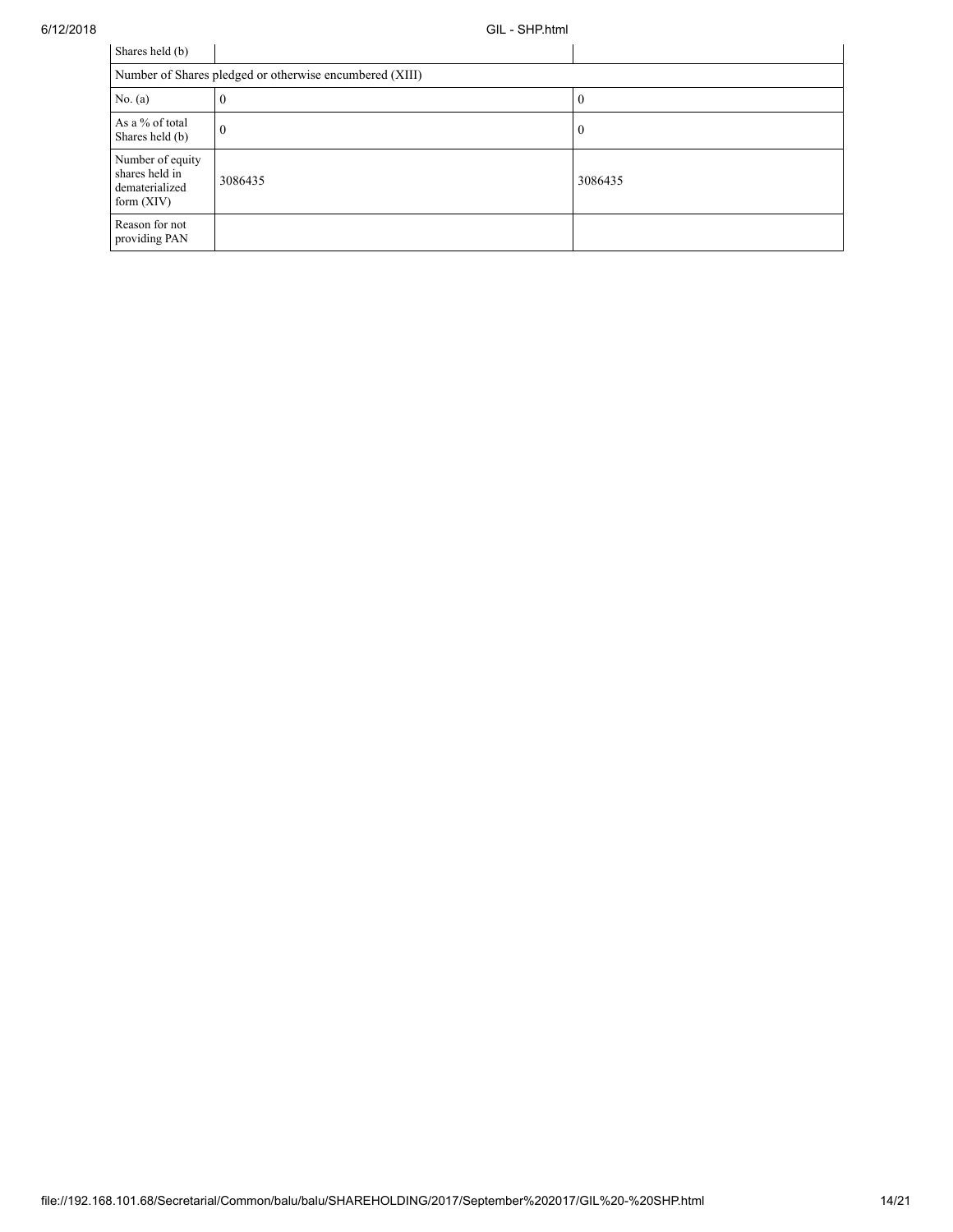| Shares held (b)                                                      |          |          |  |  |  |  |
|----------------------------------------------------------------------|----------|----------|--|--|--|--|
| Number of Shares pledged or otherwise encumbered (XIII)              |          |          |  |  |  |  |
| No. $(a)$                                                            | v        | 0        |  |  |  |  |
| As a % of total<br>Shares held (b)                                   | $\theta$ | $\Omega$ |  |  |  |  |
| Number of equity<br>shares held in<br>dematerialized<br>form $(XIV)$ | 3086435  | 3086435  |  |  |  |  |
| Reason for not<br>providing PAN                                      |          |          |  |  |  |  |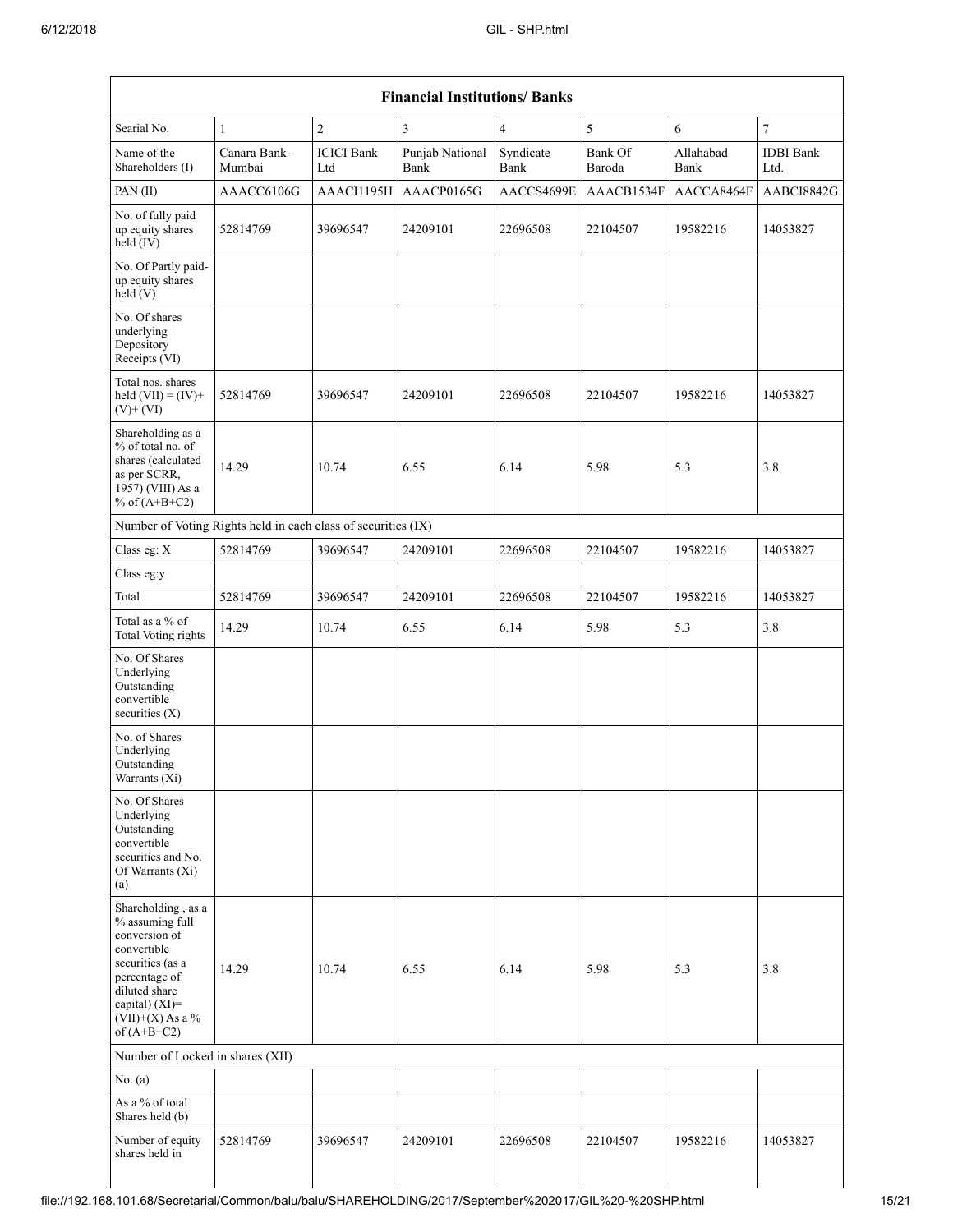| $\overline{7}$<br>$\overline{2}$<br>3<br>5<br>Searial No.<br>$\overline{4}$<br>6<br>1<br>Canara Bank-<br><b>ICICI</b> Bank<br>Punjab National<br>Syndicate<br>Bank Of<br>Allahabad<br><b>IDBI</b> Bank<br>Name of the<br>Shareholders (I)<br>Mumbai<br><b>Bank</b><br>Baroda<br>Bank<br>Ltd<br>Bank<br>Ltd.<br>AAACP0165G<br>AACCS4699E<br>PAN(II)<br>AAACC6106G<br>AAACI1195H<br>AAACB1534F<br>AACCA8464F<br>No. of fully paid<br>24209101<br>up equity shares<br>52814769<br>39696547<br>22696508<br>22104507<br>19582216<br>14053827<br>held (IV)<br>No. Of Partly paid-<br>up equity shares<br>held(V)<br>No. Of shares<br>underlying<br>Depository<br>Receipts (VI)<br>Total nos. shares<br>held $(VII) = (IV) +$<br>24209101<br>19582216<br>52814769<br>39696547<br>22696508<br>22104507<br>14053827<br>$(V)$ + $(VI)$<br>Shareholding as a<br>% of total no. of<br>shares (calculated<br>14.29<br>6.14<br>5.98<br>5.3<br>10.74<br>6.55<br>3.8<br>as per SCRR,<br>1957) (VIII) As a<br>% of $(A+B+C2)$<br>Number of Voting Rights held in each class of securities (IX)<br>Class eg: X<br>52814769<br>39696547<br>24209101<br>22696508<br>22104507<br>19582216<br>14053827<br>Class eg:y<br>Total<br>52814769<br>39696547<br>24209101<br>22696508<br>22104507<br>19582216<br>14053827<br>Total as a % of<br>5.3<br>14.29<br>10.74<br>6.55<br>6.14<br>5.98<br>3.8<br>Total Voting rights<br>No. Of Shares<br>Underlying<br>Outstanding<br>convertible<br>securities $(X)$<br>No. of Shares<br>Underlying<br>Outstanding<br>Warrants (Xi)<br>No. Of Shares<br>Underlying<br>Outstanding<br>convertible<br>securities and No.<br>Of Warrants (Xi)<br>(a)<br>Shareholding, as a<br>% assuming full<br>conversion of<br>convertible<br>securities (as a<br>14.29<br>10.74<br>6.55<br>6.14<br>5.98<br>5.3<br>3.8<br>percentage of<br>diluted share<br>capital) (XI)=<br>$(VII)+(X)$ As a %<br>of $(A+B+C2)$<br>Number of Locked in shares (XII)<br>No. $(a)$<br>As a % of total<br>Shares held (b)<br>Number of equity<br>24209101<br>52814769<br>39696547<br>22696508<br>22104507<br>19582216<br>14053827<br>shares held in | <b>Financial Institutions/ Banks</b> |  |  |  |  |  |            |
|------------------------------------------------------------------------------------------------------------------------------------------------------------------------------------------------------------------------------------------------------------------------------------------------------------------------------------------------------------------------------------------------------------------------------------------------------------------------------------------------------------------------------------------------------------------------------------------------------------------------------------------------------------------------------------------------------------------------------------------------------------------------------------------------------------------------------------------------------------------------------------------------------------------------------------------------------------------------------------------------------------------------------------------------------------------------------------------------------------------------------------------------------------------------------------------------------------------------------------------------------------------------------------------------------------------------------------------------------------------------------------------------------------------------------------------------------------------------------------------------------------------------------------------------------------------------------------------------------------------------------------------------------------------------------------------------------------------------------------------------------------------------------------------------------------------------------------------------------------------------------------------------------------------------------------------------------------------------------------------------------------------------------------------------------------------------------------------------------------------------------|--------------------------------------|--|--|--|--|--|------------|
|                                                                                                                                                                                                                                                                                                                                                                                                                                                                                                                                                                                                                                                                                                                                                                                                                                                                                                                                                                                                                                                                                                                                                                                                                                                                                                                                                                                                                                                                                                                                                                                                                                                                                                                                                                                                                                                                                                                                                                                                                                                                                                                              |                                      |  |  |  |  |  |            |
|                                                                                                                                                                                                                                                                                                                                                                                                                                                                                                                                                                                                                                                                                                                                                                                                                                                                                                                                                                                                                                                                                                                                                                                                                                                                                                                                                                                                                                                                                                                                                                                                                                                                                                                                                                                                                                                                                                                                                                                                                                                                                                                              |                                      |  |  |  |  |  |            |
|                                                                                                                                                                                                                                                                                                                                                                                                                                                                                                                                                                                                                                                                                                                                                                                                                                                                                                                                                                                                                                                                                                                                                                                                                                                                                                                                                                                                                                                                                                                                                                                                                                                                                                                                                                                                                                                                                                                                                                                                                                                                                                                              |                                      |  |  |  |  |  | AABCI8842G |
|                                                                                                                                                                                                                                                                                                                                                                                                                                                                                                                                                                                                                                                                                                                                                                                                                                                                                                                                                                                                                                                                                                                                                                                                                                                                                                                                                                                                                                                                                                                                                                                                                                                                                                                                                                                                                                                                                                                                                                                                                                                                                                                              |                                      |  |  |  |  |  |            |
|                                                                                                                                                                                                                                                                                                                                                                                                                                                                                                                                                                                                                                                                                                                                                                                                                                                                                                                                                                                                                                                                                                                                                                                                                                                                                                                                                                                                                                                                                                                                                                                                                                                                                                                                                                                                                                                                                                                                                                                                                                                                                                                              |                                      |  |  |  |  |  |            |
|                                                                                                                                                                                                                                                                                                                                                                                                                                                                                                                                                                                                                                                                                                                                                                                                                                                                                                                                                                                                                                                                                                                                                                                                                                                                                                                                                                                                                                                                                                                                                                                                                                                                                                                                                                                                                                                                                                                                                                                                                                                                                                                              |                                      |  |  |  |  |  |            |
|                                                                                                                                                                                                                                                                                                                                                                                                                                                                                                                                                                                                                                                                                                                                                                                                                                                                                                                                                                                                                                                                                                                                                                                                                                                                                                                                                                                                                                                                                                                                                                                                                                                                                                                                                                                                                                                                                                                                                                                                                                                                                                                              |                                      |  |  |  |  |  |            |
|                                                                                                                                                                                                                                                                                                                                                                                                                                                                                                                                                                                                                                                                                                                                                                                                                                                                                                                                                                                                                                                                                                                                                                                                                                                                                                                                                                                                                                                                                                                                                                                                                                                                                                                                                                                                                                                                                                                                                                                                                                                                                                                              |                                      |  |  |  |  |  |            |
|                                                                                                                                                                                                                                                                                                                                                                                                                                                                                                                                                                                                                                                                                                                                                                                                                                                                                                                                                                                                                                                                                                                                                                                                                                                                                                                                                                                                                                                                                                                                                                                                                                                                                                                                                                                                                                                                                                                                                                                                                                                                                                                              |                                      |  |  |  |  |  |            |
|                                                                                                                                                                                                                                                                                                                                                                                                                                                                                                                                                                                                                                                                                                                                                                                                                                                                                                                                                                                                                                                                                                                                                                                                                                                                                                                                                                                                                                                                                                                                                                                                                                                                                                                                                                                                                                                                                                                                                                                                                                                                                                                              |                                      |  |  |  |  |  |            |
|                                                                                                                                                                                                                                                                                                                                                                                                                                                                                                                                                                                                                                                                                                                                                                                                                                                                                                                                                                                                                                                                                                                                                                                                                                                                                                                                                                                                                                                                                                                                                                                                                                                                                                                                                                                                                                                                                                                                                                                                                                                                                                                              |                                      |  |  |  |  |  |            |
|                                                                                                                                                                                                                                                                                                                                                                                                                                                                                                                                                                                                                                                                                                                                                                                                                                                                                                                                                                                                                                                                                                                                                                                                                                                                                                                                                                                                                                                                                                                                                                                                                                                                                                                                                                                                                                                                                                                                                                                                                                                                                                                              |                                      |  |  |  |  |  |            |
|                                                                                                                                                                                                                                                                                                                                                                                                                                                                                                                                                                                                                                                                                                                                                                                                                                                                                                                                                                                                                                                                                                                                                                                                                                                                                                                                                                                                                                                                                                                                                                                                                                                                                                                                                                                                                                                                                                                                                                                                                                                                                                                              |                                      |  |  |  |  |  |            |
|                                                                                                                                                                                                                                                                                                                                                                                                                                                                                                                                                                                                                                                                                                                                                                                                                                                                                                                                                                                                                                                                                                                                                                                                                                                                                                                                                                                                                                                                                                                                                                                                                                                                                                                                                                                                                                                                                                                                                                                                                                                                                                                              |                                      |  |  |  |  |  |            |
|                                                                                                                                                                                                                                                                                                                                                                                                                                                                                                                                                                                                                                                                                                                                                                                                                                                                                                                                                                                                                                                                                                                                                                                                                                                                                                                                                                                                                                                                                                                                                                                                                                                                                                                                                                                                                                                                                                                                                                                                                                                                                                                              |                                      |  |  |  |  |  |            |
|                                                                                                                                                                                                                                                                                                                                                                                                                                                                                                                                                                                                                                                                                                                                                                                                                                                                                                                                                                                                                                                                                                                                                                                                                                                                                                                                                                                                                                                                                                                                                                                                                                                                                                                                                                                                                                                                                                                                                                                                                                                                                                                              |                                      |  |  |  |  |  |            |
|                                                                                                                                                                                                                                                                                                                                                                                                                                                                                                                                                                                                                                                                                                                                                                                                                                                                                                                                                                                                                                                                                                                                                                                                                                                                                                                                                                                                                                                                                                                                                                                                                                                                                                                                                                                                                                                                                                                                                                                                                                                                                                                              |                                      |  |  |  |  |  |            |
|                                                                                                                                                                                                                                                                                                                                                                                                                                                                                                                                                                                                                                                                                                                                                                                                                                                                                                                                                                                                                                                                                                                                                                                                                                                                                                                                                                                                                                                                                                                                                                                                                                                                                                                                                                                                                                                                                                                                                                                                                                                                                                                              |                                      |  |  |  |  |  |            |
|                                                                                                                                                                                                                                                                                                                                                                                                                                                                                                                                                                                                                                                                                                                                                                                                                                                                                                                                                                                                                                                                                                                                                                                                                                                                                                                                                                                                                                                                                                                                                                                                                                                                                                                                                                                                                                                                                                                                                                                                                                                                                                                              |                                      |  |  |  |  |  |            |
|                                                                                                                                                                                                                                                                                                                                                                                                                                                                                                                                                                                                                                                                                                                                                                                                                                                                                                                                                                                                                                                                                                                                                                                                                                                                                                                                                                                                                                                                                                                                                                                                                                                                                                                                                                                                                                                                                                                                                                                                                                                                                                                              |                                      |  |  |  |  |  |            |
|                                                                                                                                                                                                                                                                                                                                                                                                                                                                                                                                                                                                                                                                                                                                                                                                                                                                                                                                                                                                                                                                                                                                                                                                                                                                                                                                                                                                                                                                                                                                                                                                                                                                                                                                                                                                                                                                                                                                                                                                                                                                                                                              |                                      |  |  |  |  |  |            |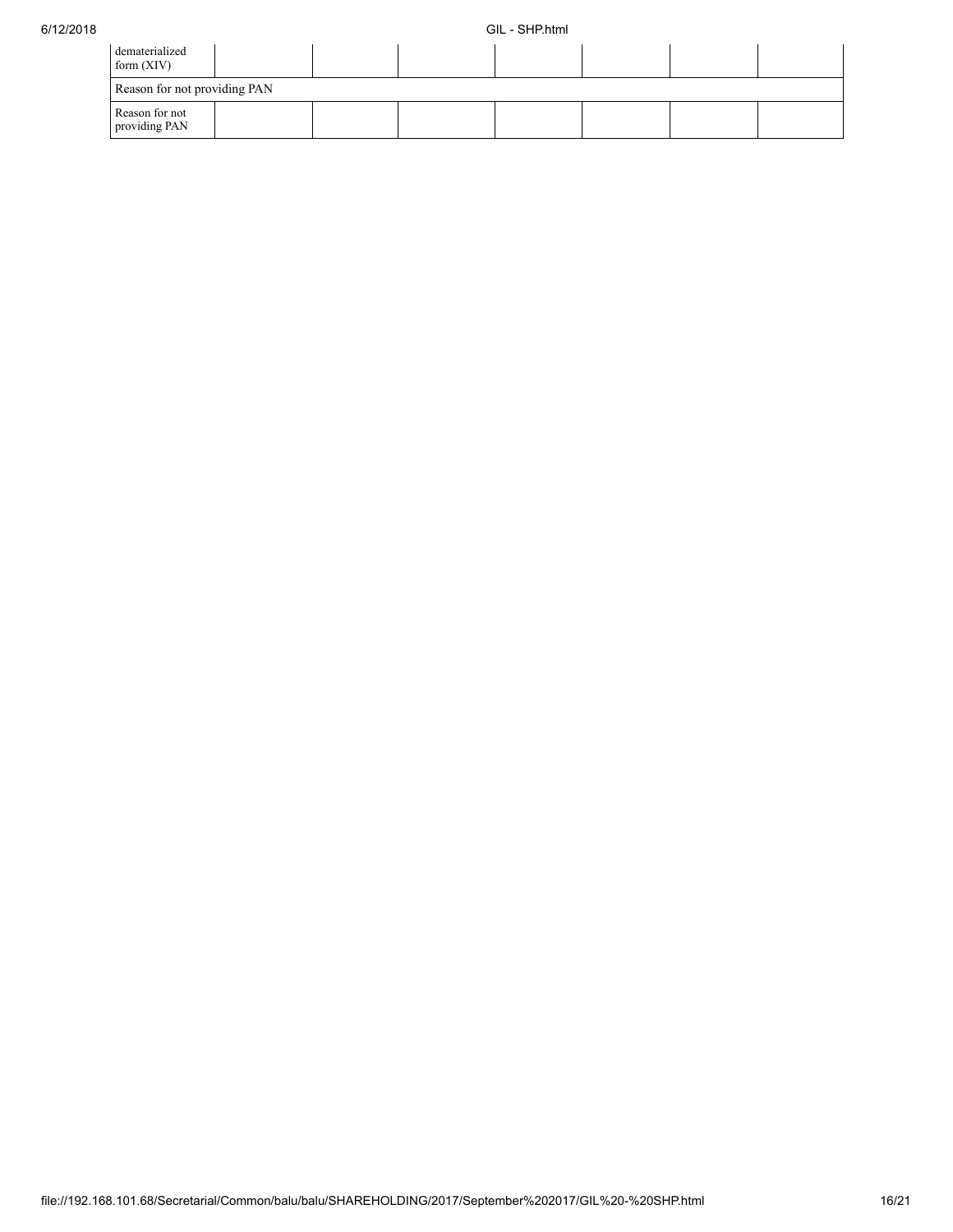| dematerialized<br>form $(XIV)$  |  |  |  |  |  |  |  |
|---------------------------------|--|--|--|--|--|--|--|
| Reason for not providing PAN    |  |  |  |  |  |  |  |
| Reason for not<br>providing PAN |  |  |  |  |  |  |  |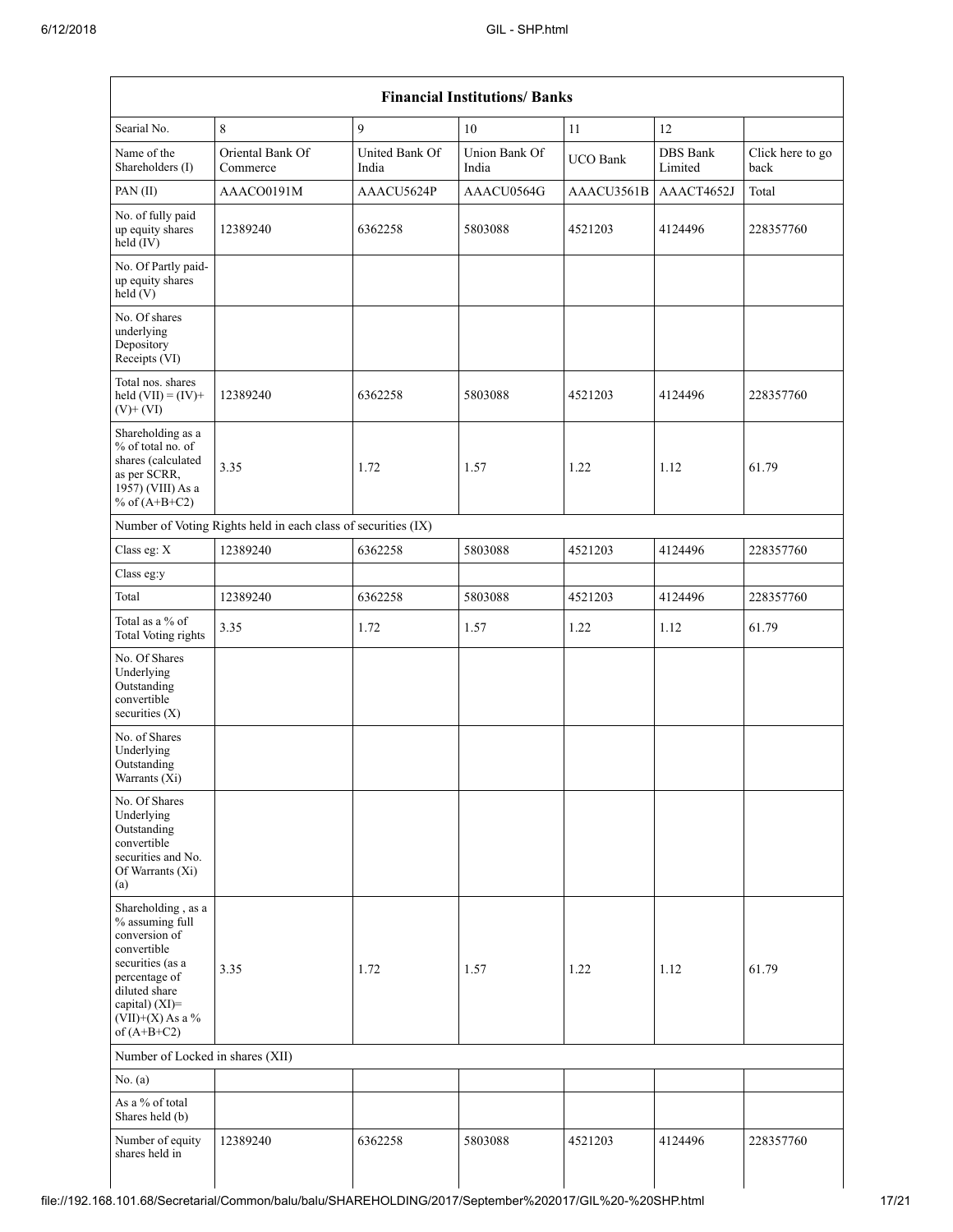|                                                                                                                                                                                      | <b>Financial Institutions/ Banks</b>                          |                         |                        |                 |                            |                          |  |
|--------------------------------------------------------------------------------------------------------------------------------------------------------------------------------------|---------------------------------------------------------------|-------------------------|------------------------|-----------------|----------------------------|--------------------------|--|
| Searial No.                                                                                                                                                                          | 8                                                             | 9                       | 10                     | 11              | 12                         |                          |  |
| Name of the<br>Shareholders (I)                                                                                                                                                      | Oriental Bank Of<br>Commerce                                  | United Bank Of<br>India | Union Bank Of<br>India | <b>UCO</b> Bank | <b>DBS</b> Bank<br>Limited | Click here to go<br>back |  |
| PAN (II)                                                                                                                                                                             | AAACO0191M                                                    | AAACU5624P              | AAACU0564G             | AAACU3561B      | AAACT4652J                 | Total                    |  |
| No. of fully paid<br>up equity shares<br>held (IV)                                                                                                                                   | 12389240                                                      | 6362258                 | 5803088                | 4521203         | 4124496                    | 228357760                |  |
| No. Of Partly paid-<br>up equity shares<br>held(V)                                                                                                                                   |                                                               |                         |                        |                 |                            |                          |  |
| No. Of shares<br>underlying<br>Depository<br>Receipts (VI)                                                                                                                           |                                                               |                         |                        |                 |                            |                          |  |
| Total nos. shares<br>held $(VII) = (IV) +$<br>$(V)$ + $(VI)$                                                                                                                         | 12389240                                                      | 6362258                 | 5803088                | 4521203         | 4124496                    | 228357760                |  |
| Shareholding as a<br>$%$ of total no. of<br>shares (calculated<br>as per SCRR,<br>1957) (VIII) As a<br>% of $(A+B+C2)$                                                               | 3.35                                                          | 1.72                    | 1.57                   | 1.22            | 1.12                       | 61.79                    |  |
|                                                                                                                                                                                      | Number of Voting Rights held in each class of securities (IX) |                         |                        |                 |                            |                          |  |
| Class eg: X                                                                                                                                                                          | 12389240                                                      | 6362258                 | 5803088                | 4521203         | 4124496                    | 228357760                |  |
| Class eg:y                                                                                                                                                                           |                                                               |                         |                        |                 |                            |                          |  |
| Total                                                                                                                                                                                | 12389240                                                      | 6362258                 | 5803088                | 4521203         | 4124496                    | 228357760                |  |
| Total as a % of<br>Total Voting rights                                                                                                                                               | 3.35                                                          | 1.72                    | 1.57                   | 1.22            | 1.12                       | 61.79                    |  |
| No. Of Shares<br>Underlying<br>Outstanding<br>convertible<br>securities $(X)$                                                                                                        |                                                               |                         |                        |                 |                            |                          |  |
| No. of Shares<br>Underlying<br>Outstanding<br>Warrants (Xi)                                                                                                                          |                                                               |                         |                        |                 |                            |                          |  |
| No. Of Shares<br>Underlying<br>Outstanding<br>convertible<br>securities and No.<br>Of Warrants (Xi)<br>(a)                                                                           |                                                               |                         |                        |                 |                            |                          |  |
| Shareholding, as a<br>% assuming full<br>conversion of<br>convertible<br>securities (as a<br>percentage of<br>diluted share<br>capital) (XI)=<br>$(VII)+(X)$ As a %<br>of $(A+B+C2)$ | 3.35                                                          | 1.72                    | 1.57                   | 1.22            | 1.12                       | 61.79                    |  |
| Number of Locked in shares (XII)                                                                                                                                                     |                                                               |                         |                        |                 |                            |                          |  |
| No. $(a)$                                                                                                                                                                            |                                                               |                         |                        |                 |                            |                          |  |
| As a % of total<br>Shares held (b)                                                                                                                                                   |                                                               |                         |                        |                 |                            |                          |  |
| Number of equity<br>shares held in                                                                                                                                                   | 12389240                                                      | 6362258                 | 5803088                | 4521203         | 4124496                    | 228357760                |  |
|                                                                                                                                                                                      |                                                               |                         |                        |                 |                            |                          |  |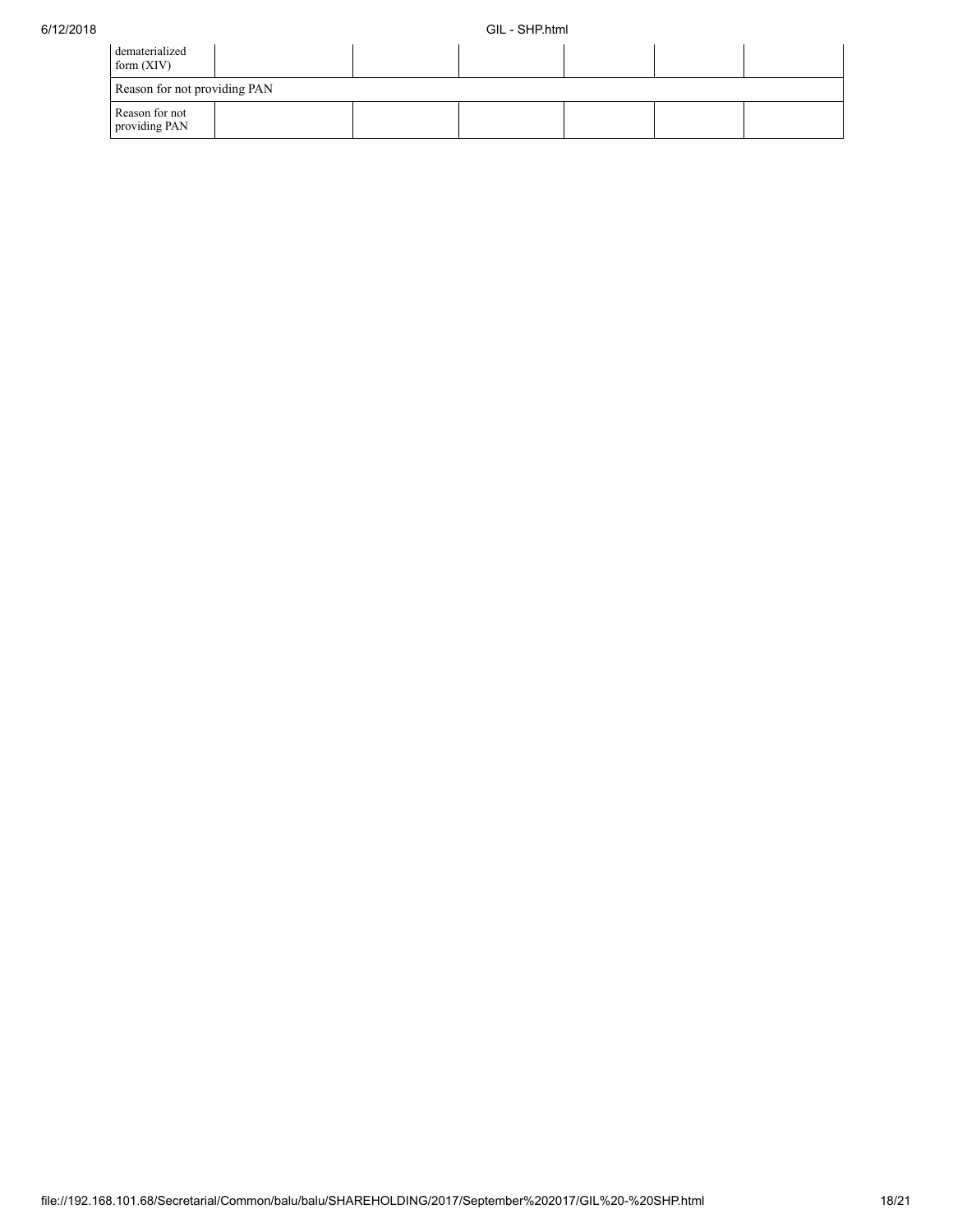| dematerialized<br>form $(XIV)$  |  |  |  |
|---------------------------------|--|--|--|
| Reason for not providing PAN    |  |  |  |
| Reason for not<br>providing PAN |  |  |  |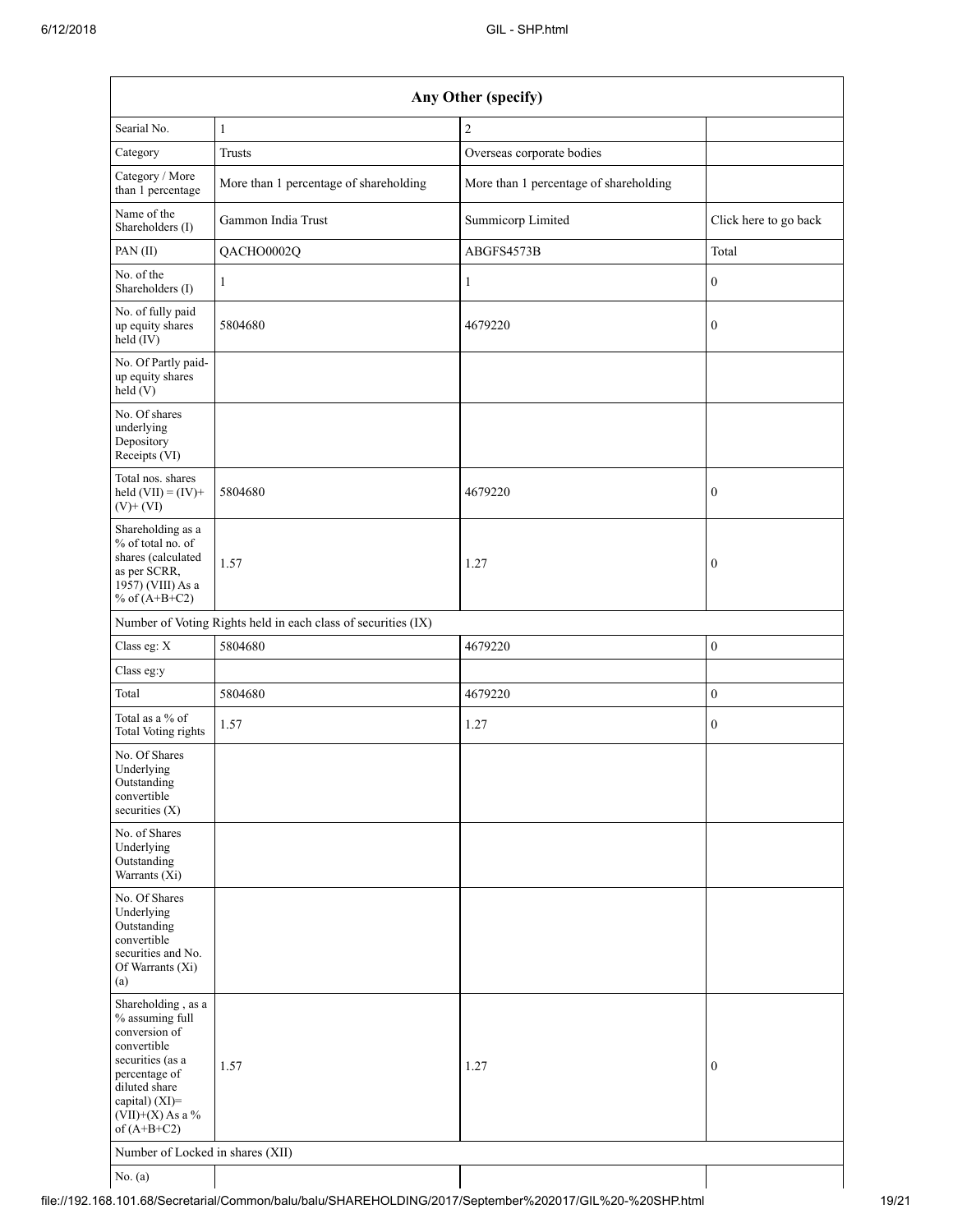| Any Other (specify)                                                                                                                                                                  |                                                               |                                        |                       |  |  |  |
|--------------------------------------------------------------------------------------------------------------------------------------------------------------------------------------|---------------------------------------------------------------|----------------------------------------|-----------------------|--|--|--|
| Searial No.                                                                                                                                                                          | $\mathbf{1}$                                                  | $\overline{c}$                         |                       |  |  |  |
| Category                                                                                                                                                                             | Trusts                                                        | Overseas corporate bodies              |                       |  |  |  |
| Category / More<br>than 1 percentage                                                                                                                                                 | More than 1 percentage of shareholding                        | More than 1 percentage of shareholding |                       |  |  |  |
| Name of the<br>Shareholders (I)                                                                                                                                                      | Gammon India Trust                                            | Summicorp Limited                      | Click here to go back |  |  |  |
| PAN(II)                                                                                                                                                                              | QACHO0002Q                                                    | ABGFS4573B                             | Total                 |  |  |  |
| No. of the<br>Shareholders (I)                                                                                                                                                       | 1                                                             | $\mathbf{1}$                           | $\boldsymbol{0}$      |  |  |  |
| No. of fully paid<br>up equity shares<br>held (IV)                                                                                                                                   | 5804680                                                       | 4679220                                | $\boldsymbol{0}$      |  |  |  |
| No. Of Partly paid-<br>up equity shares<br>held(V)                                                                                                                                   |                                                               |                                        |                       |  |  |  |
| No. Of shares<br>underlying<br>Depository<br>Receipts (VI)                                                                                                                           |                                                               |                                        |                       |  |  |  |
| Total nos. shares<br>held $(VII) = (IV) +$<br>$(V)$ + $(VI)$                                                                                                                         | 5804680                                                       | 4679220                                | $\boldsymbol{0}$      |  |  |  |
| Shareholding as a<br>% of total no. of<br>shares (calculated<br>as per SCRR,<br>1957) (VIII) As a<br>% of $(A+B+C2)$                                                                 | 1.57                                                          | 1.27                                   | $\boldsymbol{0}$      |  |  |  |
|                                                                                                                                                                                      | Number of Voting Rights held in each class of securities (IX) |                                        |                       |  |  |  |
| Class eg: X                                                                                                                                                                          | 5804680                                                       | 4679220                                | $\mathbf{0}$          |  |  |  |
| Class eg:y                                                                                                                                                                           |                                                               |                                        |                       |  |  |  |
| Total                                                                                                                                                                                | 5804680                                                       | 4679220                                | $\boldsymbol{0}$      |  |  |  |
| Total as a % of<br><b>Total Voting rights</b>                                                                                                                                        | 1.57                                                          | 1.27                                   | $\boldsymbol{0}$      |  |  |  |
| No. Of Shares<br>Underlying<br>Outstanding<br>convertible<br>securities $(X)$                                                                                                        |                                                               |                                        |                       |  |  |  |
| No. of Shares<br>Underlying<br>Outstanding<br>Warrants (Xi)                                                                                                                          |                                                               |                                        |                       |  |  |  |
| No. Of Shares<br>Underlying<br>Outstanding<br>convertible<br>securities and No.<br>Of Warrants (Xi)<br>(a)                                                                           |                                                               |                                        |                       |  |  |  |
| Shareholding, as a<br>% assuming full<br>conversion of<br>convertible<br>securities (as a<br>percentage of<br>diluted share<br>capital) (XI)=<br>$(VII)+(X)$ As a %<br>of $(A+B+C2)$ | 1.57                                                          | 1.27                                   | $\boldsymbol{0}$      |  |  |  |
| Number of Locked in shares (XII)                                                                                                                                                     |                                                               |                                        |                       |  |  |  |
| No. $(a)$                                                                                                                                                                            |                                                               |                                        |                       |  |  |  |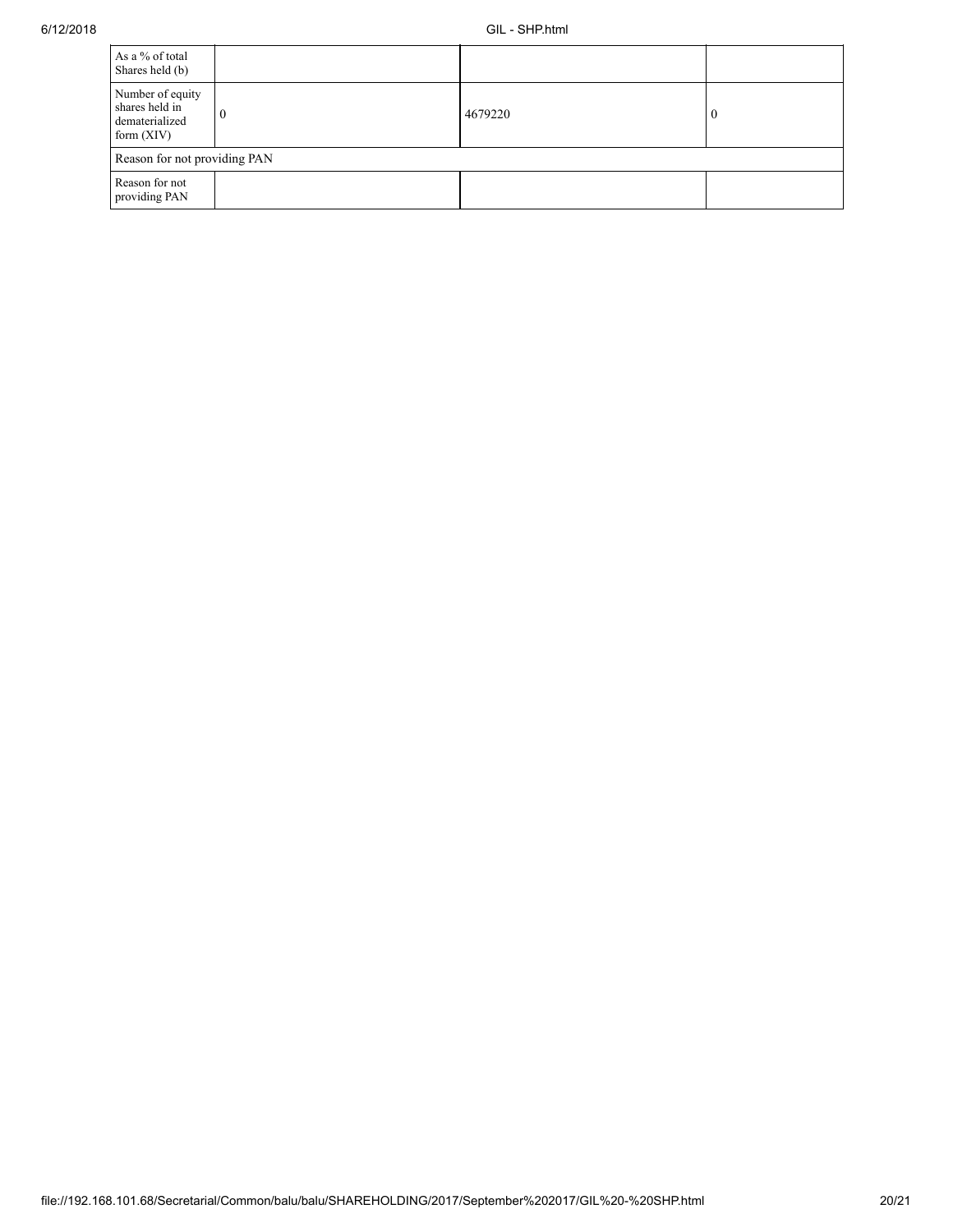| As a % of total<br>Shares held (b)                                   |          |         |  |
|----------------------------------------------------------------------|----------|---------|--|
| Number of equity<br>shares held in<br>dematerialized<br>form $(XIV)$ | $\theta$ | 4679220 |  |
| Reason for not providing PAN                                         |          |         |  |
| Reason for not<br>providing PAN                                      |          |         |  |